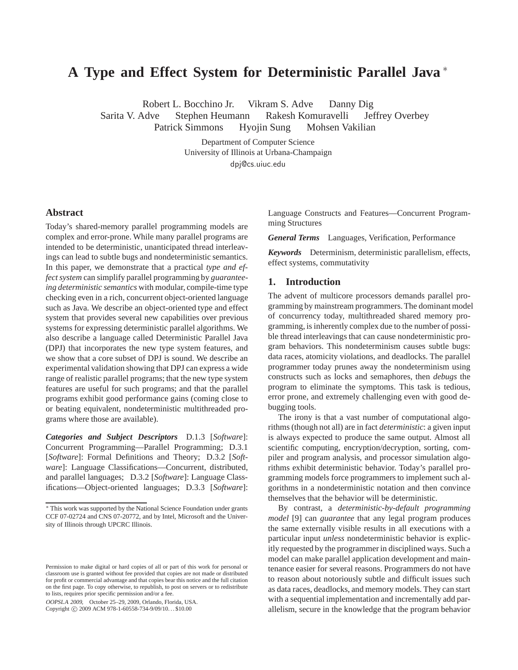# **A Type and Effect System for Deterministic Parallel Java** <sup>∗</sup>

Robert L. Bocchino Jr. Vikram S. Adve Danny Dig

Sarita V. Adve Stephen Heumann Rakesh Komuravelli Jeffrey Overbey Patrick Simmons Hyojin Sung Mohsen Vakilian

> Department of Computer Science University of Illinois at Urbana-Champaign dpj@cs.uiuc.edu

## **Abstract**

Today's shared-memory parallel programming models are complex and error-prone. While many parallel programs are intended to be deterministic, unanticipated thread interleavings can lead to subtle bugs and nondeterministic semantics. In this paper, we demonstrate that a practical *type and effect system* can simplify parallel programming by *guaranteeing deterministic semantics* with modular, compile-time type checking even in a rich, concurrent object-oriented language such as Java. We describe an object-oriented type and effect system that provides several new capabilities over previous systems for expressing deterministic parallel algorithms. We also describe a language called Deterministic Parallel Java (DPJ) that incorporates the new type system features, and we show that a core subset of DPJ is sound. We describe an experimental validation showing that DPJ can express a wide range of realistic parallel programs; that the new type system features are useful for such programs; and that the parallel programs exhibit good performance gains (coming close to or beating equivalent, nondeterministic multithreaded programs where those are available).

*Categories and Subject Descriptors* D.1.3 [*Software*]: Concurrent Programming—Parallel Programming; D.3.1 [*Software*]: Formal Definitions and Theory; D.3.2 [*Software*]: Language Classifications—Concurrent, distributed, and parallel languages; D.3.2 [*Software*]: Language Classifications—Object-oriented languages; D.3.3 [*Software*]:

OOPSLA 2009, October 25–29, 2009, Orlando, Florida, USA.

Copyright © 2009 ACM 978-1-60558-734-9/09/10... \$10.00

Language Constructs and Features—Concurrent Programming Structures

*General Terms* Languages, Verification, Performance

*Keywords* Determinism, deterministic parallelism, effects, effect systems, commutativity

## **1. Introduction**

The advent of multicore processors demands parallel programming by mainstream programmers. The dominant model of concurrency today, multithreaded shared memory programming, is inherently complex due to the number of possible thread interleavings that can cause nondeterministic program behaviors. This nondeterminism causes subtle bugs: data races, atomicity violations, and deadlocks. The parallel programmer today prunes away the nondeterminism using constructs such as locks and semaphores, then *debugs* the program to eliminate the symptoms. This task is tedious, error prone, and extremely challenging even with good debugging tools.

The irony is that a vast number of computational algorithms (though not all) are in fact *deterministic*: a given input is always expected to produce the same output. Almost all scientific computing, encryption/decryption, sorting, compiler and program analysis, and processor simulation algorithms exhibit deterministic behavior. Today's parallel programming models force programmers to implement such algorithms in a nondeterministic notation and then convince themselves that the behavior will be deterministic.

By contrast, a *deterministic-by-default programming model* [9] can *guarantee* that any legal program produces the same externally visible results in all executions with a particular input *unless* nondeterministic behavior is explicitly requested by the programmer in disciplined ways. Such a model can make parallel application development and maintenance easier for several reasons. Programmers do not have to reason about notoriously subtle and difficult issues such as data races, deadlocks, and memory models. They can start with a sequential implementation and incrementally add parallelism, secure in the knowledge that the program behavior

<sup>∗</sup> This work was supported by the National Science Foundation under grants CCF 07-02724 and CNS 07-20772, and by Intel, Microsoft and the University of Illinois through UPCRC Illinois.

Permission to make digital or hard copies of all or part of this work for personal or classroom use is granted without fee provided that copies are not made or distributed for profit or commercial advantage and that copies bear this notice and the full citation on the first page. To copy otherwise, to republish, to post on servers or to redistribute to lists, requires prior specific permission and/or a fee.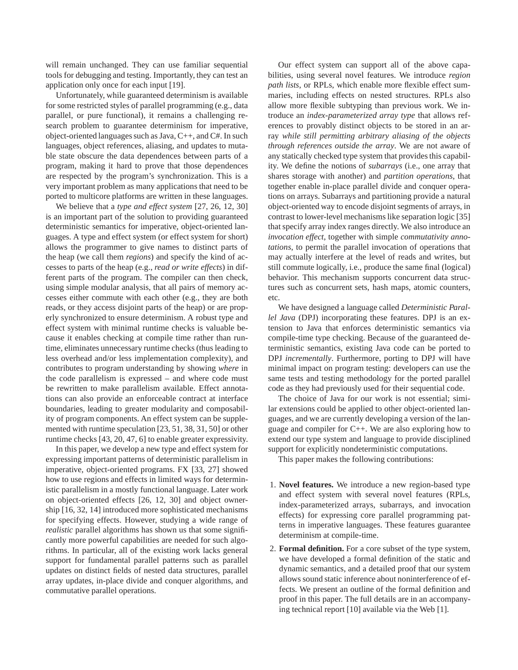will remain unchanged. They can use familiar sequential tools for debugging and testing. Importantly, they can test an application only once for each input [19].

Unfortunately, while guaranteed determinism is available for some restricted styles of parallel programming (e.g., data parallel, or pure functional), it remains a challenging research problem to guarantee determinism for imperative, object-oriented languages such as Java, C++, and C#. In such languages, object references, aliasing, and updates to mutable state obscure the data dependences between parts of a program, making it hard to prove that those dependences are respected by the program's synchronization. This is a very important problem as many applications that need to be ported to multicore platforms are written in these languages.

We believe that a *type and effect system* [27, 26, 12, 30] is an important part of the solution to providing guaranteed deterministic semantics for imperative, object-oriented languages. A type and effect system (or effect system for short) allows the programmer to give names to distinct parts of the heap (we call them *regions*) and specify the kind of accesses to parts of the heap (e.g., *read or write effects*) in different parts of the program. The compiler can then check, using simple modular analysis, that all pairs of memory accesses either commute with each other (e.g., they are both reads, or they access disjoint parts of the heap) or are properly synchronized to ensure determinism. A robust type and effect system with minimal runtime checks is valuable because it enables checking at compile time rather than runtime, eliminates unnecessary runtime checks (thus leading to less overhead and/or less implementation complexity), and contributes to program understanding by showing *where* in the code parallelism is expressed – and where code must be rewritten to make parallelism available. Effect annotations can also provide an enforceable contract at interface boundaries, leading to greater modularity and composability of program components. An effect system can be supplemented with runtime speculation [23, 51, 38, 31, 50] or other runtime checks [43, 20, 47, 6] to enable greater expressivity.

In this paper, we develop a new type and effect system for expressing important patterns of deterministic parallelism in imperative, object-oriented programs. FX [33, 27] showed how to use regions and effects in limited ways for deterministic parallelism in a mostly functional language. Later work on object-oriented effects [26, 12, 30] and object ownership [16, 32, 14] introduced more sophisticated mechanisms for specifying effects. However, studying a wide range of *realistic* parallel algorithms has shown us that some significantly more powerful capabilities are needed for such algorithms. In particular, all of the existing work lacks general support for fundamental parallel patterns such as parallel updates on distinct fields of nested data structures, parallel array updates, in-place divide and conquer algorithms, and commutative parallel operations.

Our effect system can support all of the above capabilities, using several novel features. We introduce *region path lists*, or RPLs, which enable more flexible effect summaries, including effects on nested structures. RPLs also allow more flexible subtyping than previous work. We introduce an *index-parameterized array type* that allows references to provably distinct objects to be stored in an array *while still permitting arbitrary aliasing of the objects through references outside the array*. We are not aware of any statically checked type system that provides this capability. We define the notions of *subarrays* (i.e., one array that shares storage with another) and *partition operations*, that together enable in-place parallel divide and conquer operations on arrays. Subarrays and partitioning provide a natural object-oriented way to encode disjoint segments of arrays, in contrast to lower-level mechanisms like separation logic [35] that specify array index ranges directly. We also introduce an *invocation effect*, together with simple *commutativity annotations*, to permit the parallel invocation of operations that may actually interfere at the level of reads and writes, but still commute logically, i.e., produce the same final (logical) behavior. This mechanism supports concurrent data structures such as concurrent sets, hash maps, atomic counters, etc.

We have designed a language called *Deterministic Parallel Java* (DPJ) incorporating these features. DPJ is an extension to Java that enforces deterministic semantics via compile-time type checking. Because of the guaranteed deterministic semantics, existing Java code can be ported to DPJ *incrementally*. Furthermore, porting to DPJ will have minimal impact on program testing: developers can use the same tests and testing methodology for the ported parallel code as they had previously used for their sequential code.

The choice of Java for our work is not essential; similar extensions could be applied to other object-oriented languages, and we are currently developing a version of the language and compiler for C++. We are also exploring how to extend our type system and language to provide disciplined support for explicitly nondeterministic computations.

This paper makes the following contributions:

- 1. **Novel features.** We introduce a new region-based type and effect system with several novel features (RPLs, index-parameterized arrays, subarrays, and invocation effects) for expressing core parallel programming patterns in imperative languages. These features guarantee determinism at compile-time.
- 2. **Formal definition.** For a core subset of the type system, we have developed a formal definition of the static and dynamic semantics, and a detailed proof that our system allows sound static inference about noninterference of effects. We present an outline of the formal definition and proof in this paper. The full details are in an accompanying technical report [10] available via the Web [1].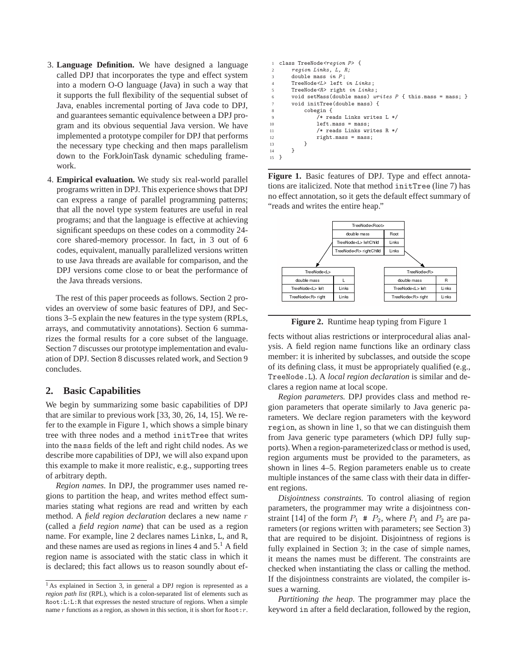- 3. **Language Definition.** We have designed a language called DPJ that incorporates the type and effect system into a modern O-O language (Java) in such a way that it supports the full flexibility of the sequential subset of Java, enables incremental porting of Java code to DPJ, and guarantees semantic equivalence between a DPJ program and its obvious sequential Java version. We have implemented a prototype compiler for DPJ that performs the necessary type checking and then maps parallelism down to the ForkJoinTask dynamic scheduling framework.
- 4. **Empirical evaluation.** We study six real-world parallel programs written in DPJ. This experience shows that DPJ can express a range of parallel programming patterns; that all the novel type system features are useful in real programs; and that the language is effective at achieving significant speedups on these codes on a commodity 24 core shared-memory processor. In fact, in 3 out of 6 codes, equivalent, manually parallelized versions written to use Java threads are available for comparison, and the DPJ versions come close to or beat the performance of the Java threads versions.

The rest of this paper proceeds as follows. Section 2 provides an overview of some basic features of DPJ, and Sections 3–5 explain the new features in the type system (RPLs, arrays, and commutativity annotations). Section 6 summarizes the formal results for a core subset of the language. Section 7 discusses our prototype implementation and evaluation of DPJ. Section 8 discusses related work, and Section 9 concludes.

## **2. Basic Capabilities**

We begin by summarizing some basic capabilities of DPJ that are similar to previous work [33, 30, 26, 14, 15]. We refer to the example in Figure 1, which shows a simple binary tree with three nodes and a method initTree that writes into the mass fields of the left and right child nodes. As we describe more capabilities of DPJ, we will also expand upon this example to make it more realistic, e.g., supporting trees of arbitrary depth.

*Region names.* In DPJ, the programmer uses named regions to partition the heap, and writes method effect summaries stating what regions are read and written by each method. A *field region declaration* declares a new name r (called a *field region name*) that can be used as a region name. For example, line 2 declares names Links, L, and R, and these names are used as regions in lines  $4$  and  $5<sup>1</sup>$ . A field region name is associated with the static class in which it is declared; this fact allows us to reason soundly about ef-

```
1 class TreeNode<region P> {
       region Links, L. R;
       double mass in P;
       TreeNode<L> left in Links;
       TreeNode<R> right in Links;
       void setMass(double mass) writes P { this.mass = mass; }
       7 void initTree(double mass) {
           cobegin {
               /* reads Links writes L */
10 left.mass = mass;
11 \frac{1}{\sqrt{\frac{2}{12}}} /* reads Links writes R */
               right.\text{mass} = \text{mass};13 }
14 }
15 }
```
**Figure 1.** Basic features of DPJ. Type and effect annotations are italicized. Note that method initTree (line 7) has no effect annotation, so it gets the default effect summary of "reads and writes the entire heap."





fects without alias restrictions or interprocedural alias analysis. A field region name functions like an ordinary class member: it is inherited by subclasses, and outside the scope of its defining class, it must be appropriately qualified (e.g., TreeNode.L). A *local region declaration* is similar and declares a region name at local scope.

*Region parameters.* DPJ provides class and method region parameters that operate similarly to Java generic parameters. We declare region parameters with the keyword region, as shown in line 1, so that we can distinguish them from Java generic type parameters (which DPJ fully supports). When a region-parameterized class or method is used, region arguments must be provided to the parameters, as shown in lines 4–5. Region parameters enable us to create multiple instances of the same class with their data in different regions.

*Disjointness constraints.* To control aliasing of region parameters, the programmer may write a disjointness constraint [14] of the form  $P_1$  #  $P_2$ , where  $P_1$  and  $P_2$  are parameters (or regions written with parameters; see Section 3) that are required to be disjoint. Disjointness of regions is fully explained in Section 3; in the case of simple names, it means the names must be different. The constraints are checked when instantiating the class or calling the method. If the disjointness constraints are violated, the compiler issues a warning.

*Partitioning the heap.* The programmer may place the keyword in after a field declaration, followed by the region,

<sup>&</sup>lt;sup>1</sup> As explained in Section 3, in general a DPJ region is represented as a *region path list* (RPL), which is a colon-separated list of elements such as Root:L:L:R that expresses the nested structure of regions. When a simple name  $r$  functions as a region, as shown in this section, it is short for Root:  $r$ .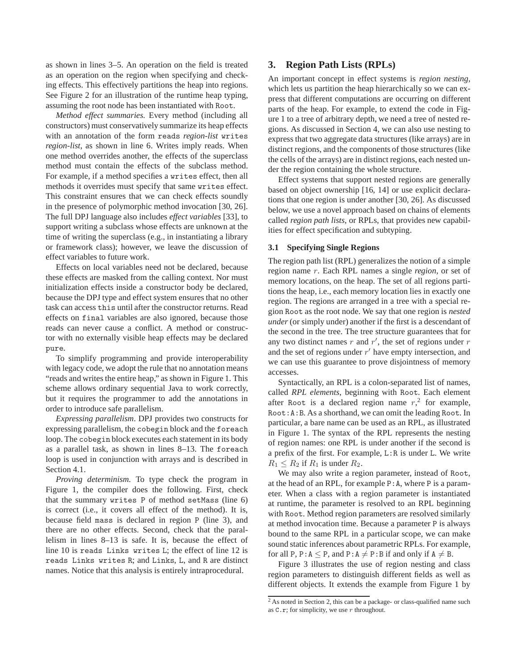as shown in lines 3–5. An operation on the field is treated as an operation on the region when specifying and checking effects. This effectively partitions the heap into regions. See Figure 2 for an illustration of the runtime heap typing, assuming the root node has been instantiated with Root.

*Method effect summaries.* Every method (including all constructors) must conservatively summarize its heap effects with an annotation of the form reads *region-list* writes *region-list*, as shown in line 6. Writes imply reads. When one method overrides another, the effects of the superclass method must contain the effects of the subclass method. For example, if a method specifies a writes effect, then all methods it overrides must specify that same writes effect. This constraint ensures that we can check effects soundly in the presence of polymorphic method invocation [30, 26]. The full DPJ language also includes *effect variables* [33], to support writing a subclass whose effects are unknown at the time of writing the superclass (e.g., in instantiating a library or framework class); however, we leave the discussion of effect variables to future work.

Effects on local variables need not be declared, because these effects are masked from the calling context. Nor must initialization effects inside a constructor body be declared, because the DPJ type and effect system ensures that no other task can access this until after the constructor returns. Read effects on final variables are also ignored, because those reads can never cause a conflict. A method or constructor with no externally visible heap effects may be declared pure.

To simplify programming and provide interoperability with legacy code, we adopt the rule that no annotation means "reads and writes the entire heap," as shown in Figure 1. This scheme allows ordinary sequential Java to work correctly, but it requires the programmer to add the annotations in order to introduce safe parallelism.

*Expressing parallelism*. DPJ provides two constructs for expressing parallelism, the cobegin block and the foreach loop. The cobegin block executes each statement in its body as a parallel task, as shown in lines 8–13. The foreach loop is used in conjunction with arrays and is described in Section 4.1.

*Proving determinism.* To type check the program in Figure 1, the compiler does the following. First, check that the summary writes P of method setMass (line 6) is correct (i.e., it covers all effect of the method). It is, because field mass is declared in region P (line 3), and there are no other effects. Second, check that the parallelism in lines 8–13 is safe. It is, because the effect of line 10 is reads Links writes L; the effect of line 12 is reads Links writes R; and Links, L, and R are distinct names. Notice that this analysis is entirely intraprocedural.

# **3. Region Path Lists (RPLs)**

An important concept in effect systems is *region nesting*, which lets us partition the heap hierarchically so we can express that different computations are occurring on different parts of the heap. For example, to extend the code in Figure 1 to a tree of arbitrary depth, we need a tree of nested regions. As discussed in Section 4, we can also use nesting to express that two aggregate data structures (like arrays) are in distinct regions, and the components of those structures (like the cells of the arrays) are in distinct regions, each nested under the region containing the whole structure.

Effect systems that support nested regions are generally based on object ownership [16, 14] or use explicit declarations that one region is under another [30, 26]. As discussed below, we use a novel approach based on chains of elements called *region path lists*, or RPLs, that provides new capabilities for effect specification and subtyping.

## **3.1 Specifying Single Regions**

The region path list (RPL) generalizes the notion of a simple region name r. Each RPL names a single *region*, or set of memory locations, on the heap. The set of all regions partitions the heap, i.e., each memory location lies in exactly one region. The regions are arranged in a tree with a special region Root as the root node. We say that one region is *nested under* (or simply under) another if the first is a descendant of the second in the tree. The tree structure guarantees that for any two distinct names  $r$  and  $r'$ , the set of regions under  $r$ and the set of regions under  $r'$  have empty intersection, and we can use this guarantee to prove disjointness of memory accesses.

Syntactically, an RPL is a colon-separated list of names, called *RPL elements*, beginning with Root. Each element after Root is a declared region name  $r<sub>1</sub><sup>2</sup>$  for example, Root:A:B. As a shorthand, we can omit the leading Root. In particular, a bare name can be used as an RPL, as illustrated in Figure 1. The syntax of the RPL represents the nesting of region names: one RPL is under another if the second is a prefix of the first. For example, L:R is under L. We write  $R_1 \leq R_2$  if  $R_1$  is under  $R_2$ .

We may also write a region parameter, instead of Root, at the head of an RPL, for example P:A, where P is a parameter. When a class with a region parameter is instantiated at runtime, the parameter is resolved to an RPL beginning with Root. Method region parameters are resolved similarly at method invocation time. Because a parameter P is always bound to the same RPL in a particular scope, we can make sound static inferences about parametric RPLs. For example, for all P, P:  $A \leq P$ , and P:  $A \neq P$ : B if and only if  $A \neq B$ .

Figure 3 illustrates the use of region nesting and class region parameters to distinguish different fields as well as different objects. It extends the example from Figure 1 by

 $2$ As noted in Section 2, this can be a package- or class-qualified name such as  $C.r$ ; for simplicity, we use r throughout.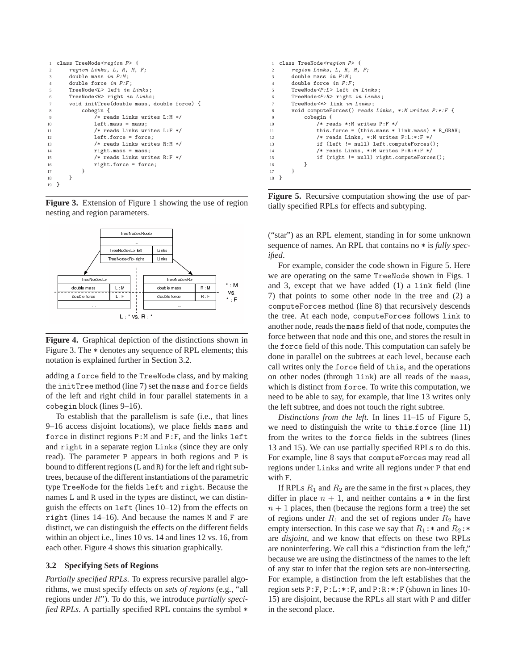```
1 class TreeNode<region P> {
2 region Links, L, R, M, F;
      double mass in P:M;
4 double force in P:F:
5 TreeNode<L> left in Links;
      \texttt{TreeNode} \triangleleft R\texttt{> right in Links}; \\7 void initTree(double mass, double force) {
8 cobegin {
9 /* reads Links writes L:M */
10 left.mass = mass:
11 /* reads Links writes L:F */<br>12 1eft.force = force:
              left.force = force:
13 /* reads Links writes R:M */
14 right.mass = mass;
15 /* reads Links writes R:F */
16 right.force = force;
17 }
\begin{array}{ccc} 18 & & & \ \end{array}<br>19 }
19 }
```
**Figure 3.** Extension of Figure 1 showing the use of region nesting and region parameters.



**Figure 4.** Graphical depiction of the distinctions shown in Figure 3. The \* denotes any sequence of RPL elements; this notation is explained further in Section 3.2.

adding a force field to the TreeNode class, and by making the initTree method (line 7) set the mass and force fields of the left and right child in four parallel statements in a cobegin block (lines 9–16).

To establish that the parallelism is safe (i.e., that lines 9–16 access disjoint locations), we place fields mass and force in distinct regions P:M and P:F, and the links left and right in a separate region Links (since they are only read). The parameter P appears in both regions and P is bound to different regions (L and R) for the left and right subtrees, because of the different instantiations of the parametric type TreeNode for the fields left and right. Because the names L and R used in the types are distinct, we can distinguish the effects on left (lines 10–12) from the effects on right (lines 14–16). And because the names M and F are distinct, we can distinguish the effects on the different fields within an object i.e., lines 10 vs. 14 and lines 12 vs. 16, from each other. Figure 4 shows this situation graphically.

#### **3.2 Specifying Sets of Regions**

*Partially specified RPLs.* To express recursive parallel algorithms, we must specify effects on *sets of regions* (e.g., "all regions under R"). To do this, we introduce *partially specified RPLs*. A partially specified RPL contains the symbol \*

```
1 class TreeNode<region P> {
2 region Links, L, R, M, F;
       double mass in P:M;
       double force in P: F:
       TreeNode < P: L > left in Links:\texttt{TreeNode}\leq P:R\texttt{> right in Links};7 TreeNode<*> link in Links;
       8 void computeForces() reads Links, *:M writes P:*:F {
            9 cobegin {
10 /* reads *:M writes P: F * /11 this.force = (this.mass * link.mass) * R_GRAV;<br>12 			/* reads Links. *:M writes P:L:*:F */
                12 /* reads Links, *:M writes P:L:*:F */
13 if (left != null) left.computeForces();
14 /* reads Links, *:M writes P:R:*:F */
15 if (right != null) right.computeForces();
\begin{array}{ccc} 16 & & & \end{array}17 }
18 }
```
**Figure 5.** Recursive computation showing the use of partially specified RPLs for effects and subtyping.

("star") as an RPL element, standing in for some unknown sequence of names. An RPL that contains no \* is *fully specified*.

For example, consider the code shown in Figure 5. Here we are operating on the same TreeNode shown in Figs. 1 and 3, except that we have added (1) a link field (line 7) that points to some other node in the tree and (2) a computeForces method (line 8) that recursively descends the tree. At each node, computeForces follows link to another node, reads the mass field of that node, computes the force between that node and this one, and stores the result in the force field of this node. This computation can safely be done in parallel on the subtrees at each level, because each call writes only the force field of this, and the operations on other nodes (through link) are all reads of the mass, which is distinct from force. To write this computation, we need to be able to say, for example, that line 13 writes only the left subtree, and does not touch the right subtree.

*Distinctions from the left.* In lines 11–15 of Figure 5, we need to distinguish the write to this.force (line 11) from the writes to the force fields in the subtrees (lines 13 and 15). We can use partially specified RPLs to do this. For example, line 8 says that computeForces may read all regions under Links and write all regions under P that end with F.

If RPLs  $R_1$  and  $R_2$  are the same in the first n places, they differ in place  $n + 1$ , and neither contains a  $*$  in the first  $n + 1$  places, then (because the regions form a tree) the set of regions under  $R_1$  and the set of regions under  $R_2$  have empty intersection. In this case we say that  $R_1:$  \* and  $R_2:$  \* are *disjoint*, and we know that effects on these two RPLs are noninterfering. We call this a "distinction from the left," because we are using the distinctness of the names to the left of any star to infer that the region sets are non-intersecting. For example, a distinction from the left establishes that the region sets P:F, P:L:\*:F, and P:R:\*:F (shown in lines 10- 15) are disjoint, because the RPLs all start with P and differ in the second place.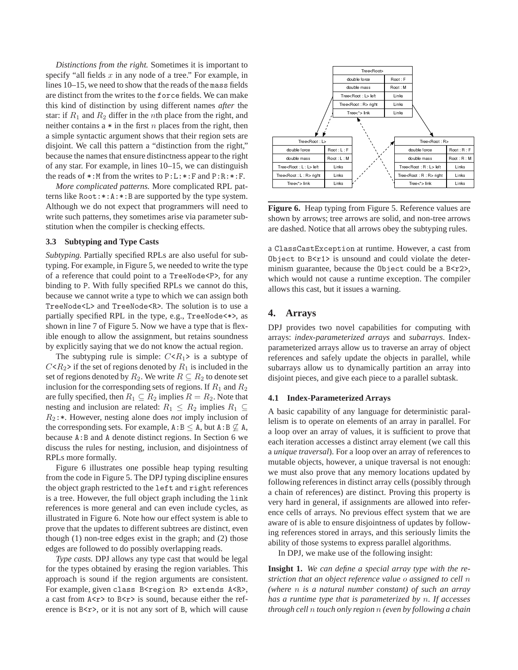*Distinctions from the right.* Sometimes it is important to specify "all fields  $x$  in any node of a tree." For example, in lines 10–15, we need to show that the reads of the mass fields are distinct from the writes to the force fields. We can make this kind of distinction by using different names *after* the star: if  $R_1$  and  $R_2$  differ in the *n*th place from the right, and neither contains a  $*$  in the first n places from the right, then a simple syntactic argument shows that their region sets are disjoint. We call this pattern a "distinction from the right," because the names that ensure distinctness appear to the right of any star. For example, in lines 10–15, we can distinguish the reads of \*:M from the writes to P:L:\*:F and P:R:\*:F.

*More complicated patterns.* More complicated RPL patterns like Root:\*:A:\*:B are supported by the type system. Although we do not expect that programmers will need to write such patterns, they sometimes arise via parameter substitution when the compiler is checking effects.

## **3.3 Subtyping and Type Casts**

*Subtyping.* Partially specified RPLs are also useful for subtyping. For example, in Figure 5, we needed to write the type of a reference that could point to a TreeNode<P>, for any binding to P. With fully specified RPLs we cannot do this, because we cannot write a type to which we can assign both TreeNode<L> and TreeNode<R>. The solution is to use a partially specified RPL in the type, e.g., TreeNode<\*>, as shown in line 7 of Figure 5. Now we have a type that is flexible enough to allow the assignment, but retains soundness by explicitly saying that we do not know the actual region.

The subtyping rule is simple:  $C < R_1$ > is a subtype of  $C < R_2$ > if the set of regions denoted by  $R_1$  is included in the set of regions denoted by  $R_2$ . We write  $R \subseteq R_2$  to denote set inclusion for the corresponding sets of regions. If  $R_1$  and  $R_2$ are fully specified, then  $R_1 \subseteq R_2$  implies  $R = R_2$ . Note that nesting and inclusion are related:  $R_1 \leq R_2$  implies  $R_1 \subseteq$ R2:\*. However, nesting alone does *not* imply inclusion of the corresponding sets. For example,  $A:B \leq A$ , but  $A:B \nsubseteq A$ , because A:B and A denote distinct regions. In Section 6 we discuss the rules for nesting, inclusion, and disjointness of RPLs more formally.

Figure 6 illustrates one possible heap typing resulting from the code in Figure 5. The DPJ typing discipline ensures the object graph restricted to the left and right references is a tree. However, the full object graph including the link references is more general and can even include cycles, as illustrated in Figure 6. Note how our effect system is able to prove that the updates to different subtrees are distinct, even though (1) non-tree edges exist in the graph; and (2) those edges are followed to do possibly overlapping reads.

*Type casts.* DPJ allows any type cast that would be legal for the types obtained by erasing the region variables. This approach is sound if the region arguments are consistent. For example, given class B<region R> extends A<R>>A<br/>, a cast from A<r> to B<r> B<r>s sound, because either the reference is  $B \le r$ , or it is not any sort of B, which will cause



**Figure 6.** Heap typing from Figure 5. Reference values are shown by arrows; tree arrows are solid, and non-tree arrows are dashed. Notice that all arrows obey the subtyping rules.

a ClassCastException at runtime. However, a cast from Object to  $B < r1$  is unsound and could violate the determinism guarantee, because the Object could be a B<r2>, which would not cause a runtime exception. The compiler allows this cast, but it issues a warning.

## **4. Arrays**

DPJ provides two novel capabilities for computing with arrays: *index-parameterized arrays* and *subarrays*. Indexparameterized arrays allow us to traverse an array of object references and safely update the objects in parallel, while subarrays allow us to dynamically partition an array into disjoint pieces, and give each piece to a parallel subtask.

#### **4.1 Index-Parameterized Arrays**

A basic capability of any language for deterministic parallelism is to operate on elements of an array in parallel. For a loop over an array of values, it is sufficient to prove that each iteration accesses a distinct array element (we call this a *unique traversal*). For a loop over an array of references to mutable objects, however, a unique traversal is not enough: we must also prove that any memory locations updated by following references in distinct array cells (possibly through a chain of references) are distinct. Proving this property is very hard in general, if assignments are allowed into reference cells of arrays. No previous effect system that we are aware of is able to ensure disjointness of updates by following references stored in arrays, and this seriously limits the ability of those systems to express parallel algorithms.

In DPJ, we make use of the following insight:

**Insight 1.** *We can define a special array type with the restriction that an object reference value* o *assigned to cell* n *(where* n *is a natural number constant) of such an array has a runtime type that is parameterized by* n*. If accesses through cell* n *touch only region* n *(even by following a chain*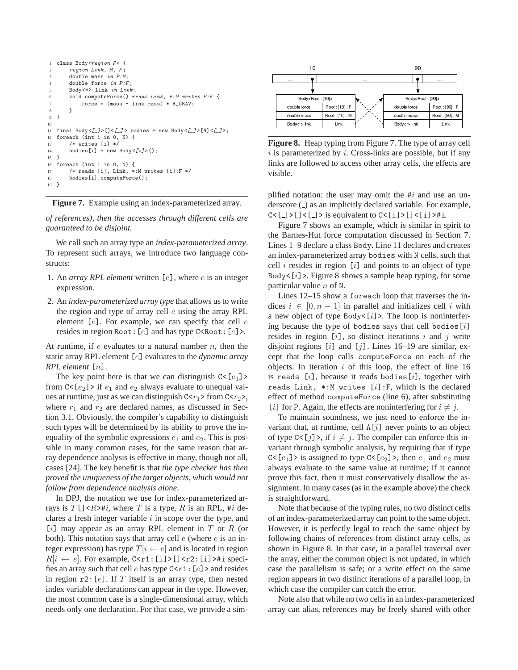```
1 class Body<region P> {
       region Link, M. F;
       double mass in P:M;
       double force in P: F:5 Body<*> link in Link ;
 6 void computeForce() reads Link, *:M writes P:F {
 7 force = (mass * link.mass) * R_GRAV;
8 }
9 }
10
11 final Body<[_]>[]<[_] > bodies = new Body<[_]>[N]<[_]>;
   foreach (int i in 0, N) {
13 /* writes [i] */
14 bodies[i] = new Body < [i] > ();
15 }
16 foreach (int i in 0, N) {<br>17 /* reads [i] Link *
       /* reads [i], Link, *:\mathbb{M} writes [i]:F */18 bodies[i].computeForce();<br>19 }
19 }
```
**Figure 7.** Example using an index-parameterized array.

*of references), then the accesses through different cells are guaranteed to be disjoint.*

We call such an array type an *index-parameterized array*. To represent such arrays, we introduce two language constructs:

- 1. An *array RPL element* written [e], where e is an integer expression.
- 2. An *index-parameterized array type* that allows us to write the region and type of array cell  $e$  using the array RPL element  $[e]$ . For example, we can specify that cell  $e$ resides in region Root:  $[e]$  and has type C<Root:  $[e]$ >.

At runtime, if  $e$  evaluates to a natural number  $n$ , then the static array RPL element [e] evaluates to the *dynamic array RPL element* [n].

The key point here is that we can distinguish  $C < [e_1]$ from  $C<[\epsilon_2]$  if  $\epsilon_1$  and  $\epsilon_2$  always evaluate to unequal values at runtime, just as we can distinguish  $C \langle r_1 \rangle$  from  $C \langle r_2 \rangle$ , where  $r_1$  and  $r_2$  are declared names, as discussed in Section 3.1. Obviously, the compiler's capability to distinguish such types will be determined by its ability to prove the inequality of the symbolic expressions  $e_1$  and  $e_2$ . This is possible in many common cases, for the same reason that array dependence analysis is effective in many, though not all, cases [24]. The key benefit is that *the type checker has then proved the uniqueness of the target objects, which would not follow from dependence analysis alone*.

In DPJ, the notation we use for index-parameterized arrays is  $T$ [] < $R$ >#i, where  $T$  is a type,  $R$  is an RPL, #i declares a fresh integer variable  $i$  in scope over the type, and [i] may appear as an array RPL element in  $T$  or  $R$  (or both). This notation says that array cell  $e$  (where  $e$  is an integer expression) has type  $T[i \leftarrow e]$  and is located in region  $R[i \leftarrow e]$ . For example, C<r1: [i]>[]<r2: [i]>#i specifies an array such that cell e has type  $C \leq r1$ :  $[e] >$  and resides in region  $r2$ : [e]. If T itself is an array type, then nested index variable declarations can appear in the type. However, the most common case is a single-dimensional array, which needs only one declaration. For that case, we provide a sim-



**Figure 8.** Heap typing from Figure 7. The type of array cell  $i$  is parameterized by  $i$ . Cross-links are possible, but if any links are followed to access other array cells, the effects are visible.

plified notation: the user may omit the  $\#i$  and use an underscore ( $\angle$ ) as an implicitly declared variable. For example, C< $[$ ] > [] < [] > is equivalent to C<[i] > [] <[i] >#i.

Figure 7 shows an example, which is similar in spirit to the Barnes-Hut force computation discussed in Section 7. Lines 1–9 declare a class Body. Line 11 declares and creates an index-parameterized array bodies with N cells, such that cell  $i$  resides in region  $[i]$  and points to an object of type Body< $[i]$  >. Figure 8 shows a sample heap typing, for some particular value  $n$  of N.

Lines 12–15 show a foreach loop that traverses the indices  $i \in [0, n-1]$  in parallel and initializes cell i with a new object of type  $Body \leq [i]$ >. The loop is noninterfering because the type of bodies says that cell bodies  $[i]$ resides in region  $[i]$ , so distinct iterations i and j write disjoint regions  $[i]$  and  $[j]$ . Lines 16–19 are similar, except that the loop calls computeForce on each of the objects. In iteration  $i$  of this loop, the effect of line 16 is reads  $[i]$ , because it reads bodies $[i]$ , together with reads Link, \*:M writes [i]:F, which is the declared effect of method computeForce (line 6), after substituting [i] for P. Again, the effects are noninterfering for  $i \neq j$ .

To maintain soundness, we just need to enforce the invariant that, at runtime, cell  $A[i]$  never points to an object of type C<[j]>, if  $i \neq j$ . The compiler can enforce this invariant through symbolic analysis, by requiring that if type  $C < [e_1]$  is assigned to type  $C < [e_2]$  >, then  $e_1$  and  $e_2$  must always evaluate to the same value at runtime; if it cannot prove this fact, then it must conservatively disallow the assignment. In many cases (as in the example above) the check is straightforward.

Note that because of the typing rules, no two distinct cells of an index-parameterized array can point to the same object. However, it is perfectly legal to reach the same object by following chains of references from distinct array cells, as shown in Figure 8. In that case, in a parallel traversal over the array, either the common object is not updated, in which case the parallelism is safe; or a write effect on the same region appears in two distinct iterations of a parallel loop, in which case the compiler can catch the error.

Note also that while no two cells in an index-parameterized array can alias, references may be freely shared with other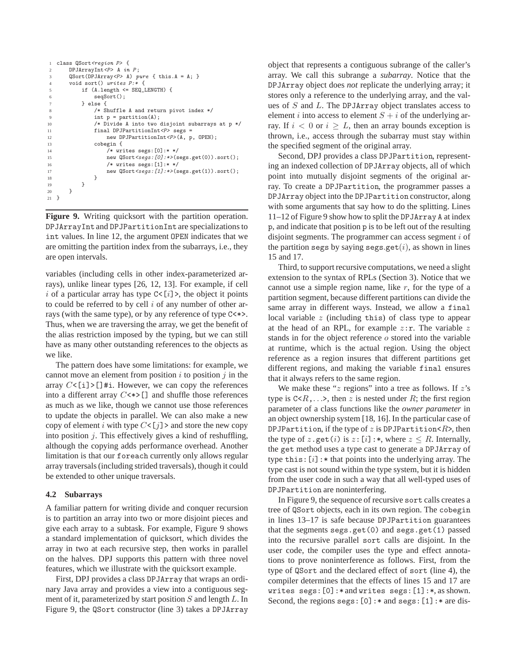```
1 class QSort < reqion P> {
2 DPJArrayInt <P> A in P;
 3 QSort(DPJArray<P> A) pure { this.A = A; }
 4 void sort() writes P:* {
           5 if (A.length <= SEQ_LENGTH) {
               seqSort();
           7 } else {
8 /* Shuffle A and return pivot index */
9 int p = partition(A);
10 /* Divide A into two disjoint subarrays at p */
11 final DPJPartitionInt<P> segs =<br>12 new DPJPartitionInt<P>(A, p
                  new DPJPartitionInt <P>\geq (\stackrel{\sim}{A}, p, OPEN);
13 cobegin {
14 /* writes segs:[0]:* */
15 new QSort<segs:[0]:*>(segs.get(0)).sort();
16 /* writes segs: [1]:* */<br>17 180rt <segs: [1]:* */
                  new QSort<segs:[1]:*>(segs.get(1)).sort();
18 }
\begin{array}{ccc} 19 & & & \end{array} }
      \mathcal{F}21 }
```
**Figure 9.** Writing quicksort with the partition operation. DPJArrayInt and DPJPartitionInt are specializations to int values. In line 12, the argument OPEN indicates that we are omitting the partition index from the subarrays, i.e., they are open intervals.

variables (including cells in other index-parameterized arrays), unlike linear types [26, 12, 13]. For example, if cell i of a particular array has type  $C \leq i$  >, the object it points to could be referred to by cell  $i$  of any number of other arrays (with the same type), or by any reference of type C<\*>. Thus, when we are traversing the array, we get the benefit of the alias restriction imposed by the typing, but we can still have as many other outstanding references to the objects as we like.

The pattern does have some limitations: for example, we cannot move an element from position  $i$  to position  $j$  in the array  $C \leq [i] \geq [j] \neq i$ . However, we can copy the references into a different array  $C \ll 1$  and shuffle those references as much as we like, though we cannot use those references to update the objects in parallel. We can also make a new copy of element i with type  $C \leq [j]$  and store the new copy into position  $j$ . This effectively gives a kind of reshuffling, although the copying adds performance overhead. Another limitation is that our foreach currently only allows regular array traversals (including strided traversals), though it could be extended to other unique traversals.

# **4.2 Subarrays**

A familiar pattern for writing divide and conquer recursion is to partition an array into two or more disjoint pieces and give each array to a subtask. For example, Figure 9 shows a standard implementation of quicksort, which divides the array in two at each recursive step, then works in parallel on the halves. DPJ supports this pattern with three novel features, which we illustrate with the quicksort example.

First, DPJ provides a class DPJArray that wraps an ordinary Java array and provides a view into a contiguous segment of it, parameterized by start position  $S$  and length  $L$ . In Figure 9, the QSort constructor (line 3) takes a DPJArray

object that represents a contiguous subrange of the caller's array. We call this subrange a *subarray*. Notice that the DPJArray object does *not* replicate the underlying array; it stores only a reference to the underlying array, and the values of S and L. The DPJArray object translates access to element i into access to element  $S + i$  of the underlying array. If  $i < 0$  or  $i \geq L$ , then an array bounds exception is thrown, i.e., access through the subarray must stay within the specified segment of the original array.

Second, DPJ provides a class DPJPartition, representing an indexed collection of DPJArray objects, all of which point into mutually disjoint segments of the original array. To create a DPJPartition, the programmer passes a DPJArray object into the DPJPartition constructor, along with some arguments that say how to do the splitting. Lines 11–12 of Figure 9 show how to split the DPJArray A at index p, and indicate that position p is to be left out of the resulting disjoint segments. The programmer can access segment i of the partition segs by saying segs.get $(i)$ , as shown in lines 15 and 17.

Third, to support recursive computations, we need a slight extension to the syntax of RPLs (Section 3). Notice that we cannot use a simple region name, like  $r$ , for the type of a partition segment, because different partitions can divide the same array in different ways. Instead, we allow a final local variable  $z$  (including this) of class type to appear at the head of an RPL, for example  $z:\mathbf{r}$ . The variable z stands in for the object reference o stored into the variable at runtime, which is the actual region. Using the object reference as a region insures that different partitions get different regions, and making the variable final ensures that it always refers to the same region.

We make these " $z$  regions" into a tree as follows. If  $z$ 's type is  $C < R$ ,...>, then z is nested under R; the first region parameter of a class functions like the *owner parameter* in an object ownership system [18, 16]. In the particular case of DPJPartition, if the type of  $z$  is DPJPartition  $\langle R \rangle$ , then the type of z.get(i) is z: [i]:\*, where  $z \leq R$ . Internally, the get method uses a type cast to generate a DPJArray of type this:  $[i]$ :  $*$  that points into the underlying array. The type cast is not sound within the type system, but it is hidden from the user code in such a way that all well-typed uses of DPJPartition are noninterfering.

In Figure 9, the sequence of recursive sort calls creates a tree of QSort objects, each in its own region. The cobegin in lines 13–17 is safe because DPJPartition guarantees that the segments segs.get(0) and segs.get(1) passed into the recursive parallel sort calls are disjoint. In the user code, the compiler uses the type and effect annotations to prove noninterference as follows. First, from the type of QSort and the declared effect of sort (line 4), the compiler determines that the effects of lines 15 and 17 are writes segs:[0]:\* and writes segs:[1]:\*, as shown. Second, the regions segs: [0]:  $*$  and segs: [1]:  $*$  are dis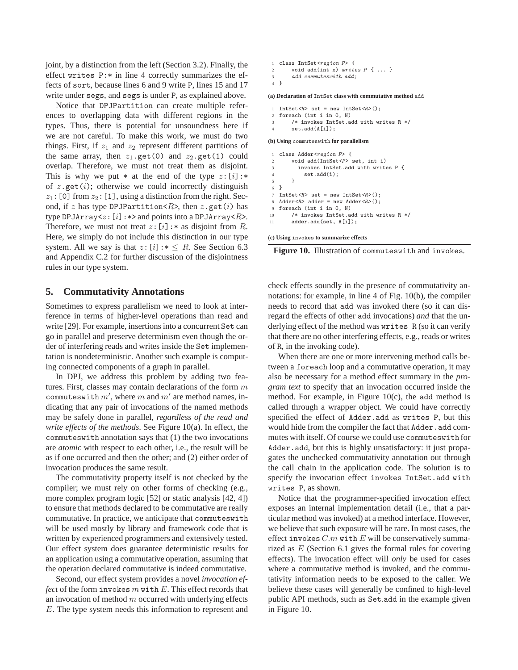joint, by a distinction from the left (Section 3.2). Finally, the effect writes P:\* in line 4 correctly summarizes the effects of sort, because lines 6 and 9 write P, lines 15 and 17 write under segs, and segs is under P, as explained above.

Notice that DPJPartition can create multiple references to overlapping data with different regions in the types. Thus, there is potential for unsoundness here if we are not careful. To make this work, we must do two things. First, if  $z_1$  and  $z_2$  represent different partitions of the same array, then  $z_1$  get(0) and  $z_2$  get(1) could overlap. Therefore, we must not treat them as disjoint. This is why we put  $*$  at the end of the type  $z: [i] : *$ of  $z.get(i)$ ; otherwise we could incorrectly distinguish  $z_1$ : [0] from  $z_2$ : [1], using a distinction from the right. Second, if z has type DPJPartition  $\langle R \rangle$ , then z.get(i) has type DPJArray $\langle z: [i] : \ast \rangle$  and points into a DPJArray $\langle R \rangle$ . Therefore, we must not treat  $z: [i] : *$  as disjoint from R. Here, we simply do not include this distinction in our type system. All we say is that  $z: [i]: * \leq R$ . See Section 6.3 and Appendix C.2 for further discussion of the disjointness rules in our type system.

## **5. Commutativity Annotations**

Sometimes to express parallelism we need to look at interference in terms of higher-level operations than read and write [29]. For example, insertions into a concurrent Set can go in parallel and preserve determinism even though the order of interfering reads and writes inside the Set implementation is nondeterministic. Another such example is computing connected components of a graph in parallel.

In DPJ, we address this problem by adding two features. First, classes may contain declarations of the form  $m$ commuteswith  $m'$ , where  $m$  and  $m'$  are method names, indicating that any pair of invocations of the named methods may be safely done in parallel, *regardless of the read and write effects of the methods*. See Figure 10(a). In effect, the commuteswith annotation says that (1) the two invocations are *atomic* with respect to each other, i.e., the result will be as if one occurred and then the other; and (2) either order of invocation produces the same result.

The commutativity property itself is not checked by the compiler; we must rely on other forms of checking (e.g., more complex program logic [52] or static analysis [42, 4]) to ensure that methods declared to be commutative are really commutative. In practice, we anticipate that commuteswith will be used mostly by library and framework code that is written by experienced programmers and extensively tested. Our effect system does guarantee deterministic results for an application using a commutative operation, assuming that the operation declared commutative is indeed commutative.

Second, our effect system provides a novel *invocation effect* of the form invokes  $m$  with  $E$ . This effect records that an invocation of method  $m$  occurred with underlying effects E. The type system needs this information to represent and

```
1 class IntSet<region P> {
2 void add(int x) writes P \{ \ldots \}3 add commuteswith add;
4 - 3
```
**(a) Declaration of** IntSet **class with commutative method** add

```
1 IntSet<R> set = new IntSet<R>();
2 foreach (int i in 0, N)
      /* invokes IntSet.add with writes R */
      set.add(A[i]);
```
**(b) Using** commuteswith **for parallelism**

```
class Adder<region P> {
       void add(IntSet<P> set, int i)
         3 invokes IntSet.add with writes P {
           set.add(i);\mathcal{F}6 }
7 IntSet <R> set = new IntSet <R> <R);
  Adder < R adder = new Adder < R > ();
9 foreach (int i in 0, N)
10 /* invokes IntSet.add with writes R */
11 adder.add(set, A[i]);
```
**(c) Using** invokes **to summarize effects**

**Figure 10.** Illustration of commuteswith and invokes.

check effects soundly in the presence of commutativity annotations: for example, in line 4 of Fig. 10(b), the compiler needs to record that add was invoked there (so it can disregard the effects of other add invocations) *and* that the underlying effect of the method was writes R (so it can verify that there are no other interfering effects, e.g., reads or writes of R, in the invoking code).

When there are one or more intervening method calls between a foreach loop and a commutative operation, it may also be necessary for a method effect summary in the *program text* to specify that an invocation occurred inside the method. For example, in Figure 10(c), the add method is called through a wrapper object. We could have correctly specified the effect of Adder.add as writes P, but this would hide from the compiler the fact that Adder.add commutes with itself. Of course we could use commuteswith for Adder.add, but this is highly unsatisfactory: it just propagates the unchecked commutativity annotation out through the call chain in the application code. The solution is to specify the invocation effect invokes IntSet.add with writes P, as shown.

Notice that the programmer-specified invocation effect exposes an internal implementation detail (i.e., that a particular method was invoked) at a method interface. However, we believe that such exposure will be rare. In most cases, the effect invokes  $C.m$  with  $E$  will be conservatively summarized as  $E$  (Section 6.1 gives the formal rules for covering effects). The invocation effect will *only* be used for cases where a commutative method is invoked, and the commutativity information needs to be exposed to the caller. We believe these cases will generally be confined to high-level public API methods, such as Set.add in the example given in Figure 10.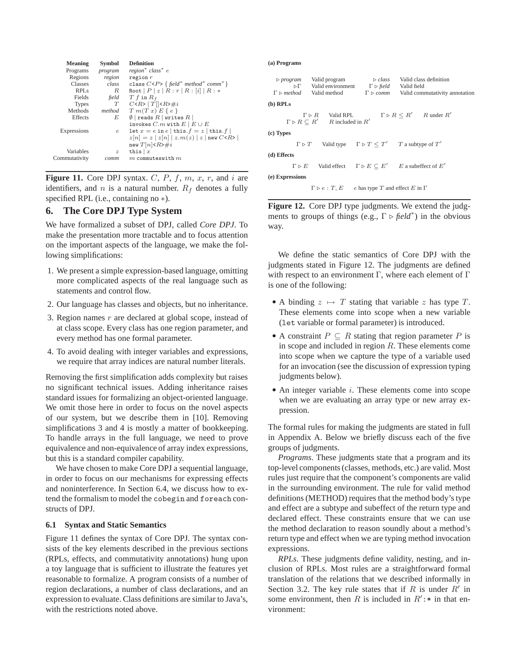| <b>Meaning</b>   | <b>Symbol</b>    | <b>Definition</b>                                                    |
|------------------|------------------|----------------------------------------------------------------------|
| Programs         | program          | $region^* class^* e$                                                 |
| Regions          | region           | region r                                                             |
| Classes          | class            | class $C < P > \{ \text{field}^* \text{ method}^* \text{ comm}^* \}$ |
| RPL <sub>S</sub> | $_{R}$           | Root $ P z R:r R:[i] R;*$                                            |
| Fields           | field            | $T f$ in $R_f$                                                       |
| <b>Types</b>     | T                | $C < R >  T  < R > \#i$                                              |
| Methods          | method           | $T m(T x) E\{e\}$                                                    |
| Effects          | E                | $\emptyset$   reads $R$   writes $R$                                 |
|                  |                  | invokes $C.m$ with $E \mid E \cup E$                                 |
| Expressions      | $\epsilon$       | let $x = e$ in $e$   this. $f = z$   this. $f$                       |
|                  |                  | $z[n] = z \mid z[n] \mid z.m(z) \mid z \mid$ new $C \le R$ >         |
|                  |                  | new $T[n] < R > \# i$                                                |
| Variables        | $\boldsymbol{z}$ | this $ x $                                                           |
| Commutativity    | comm             | $m$ commuteswith $m$                                                 |
|                  |                  |                                                                      |

**Figure 11.** Core DPJ syntax.  $C, P, f, m, x, r$ , and i are identifiers, and n is a natural number.  $R_f$  denotes a fully specified RPL (i.e., containing no ∗).

# **6. The Core DPJ Type System**

We have formalized a subset of DPJ, called *Core DPJ*. To make the presentation more tractable and to focus attention on the important aspects of the language, we make the following simplifications:

- 1. We present a simple expression-based language, omitting more complicated aspects of the real language such as statements and control flow.
- 2. Our language has classes and objects, but no inheritance.
- 3. Region names r are declared at global scope, instead of at class scope. Every class has one region parameter, and every method has one formal parameter.
- 4. To avoid dealing with integer variables and expressions, we require that array indices are natural number literals.

Removing the first simplification adds complexity but raises no significant technical issues. Adding inheritance raises standard issues for formalizing an object-oriented language. We omit those here in order to focus on the novel aspects of our system, but we describe them in [10]. Removing simplifications 3 and 4 is mostly a matter of bookkeeping. To handle arrays in the full language, we need to prove equivalence and non-equivalence of array index expressions, but this is a standard compiler capability.

We have chosen to make Core DPJ a sequential language, in order to focus on our mechanisms for expressing effects and noninterference. In Section 6.4, we discuss how to extend the formalism to model the cobegin and foreach constructs of DPJ.

## **6.1 Syntax and Static Semantics**

Figure 11 defines the syntax of Core DPJ. The syntax consists of the key elements described in the previous sections (RPLs, effects, and commutativity annotations) hung upon a toy language that is sufficient to illustrate the features yet reasonable to formalize. A program consists of a number of region declarations, a number of class declarations, and an expression to evaluate. Class definitions are similar to Java's, with the restrictions noted above.

#### **(a) Programs**

```
⊲ program Valid program ⊲ class Valid class definition
   ⊳Γ Valid environment Γ ⊳ field Valid field<br>Γ ⊳ method Valid method Γ ⊳ comm Valid com
                                                                        Valid commutativity annotation
(b) RPLs
          \Gamma \triangleright R Valid RPL \Gamma \triangleright R \leq R' R under R'<br>\Gamma \triangleright R \subseteq R' R included in R'R included in R(c) Types
               \Gamma \triangleright T Valid type \Gamma \triangleright T \leq T'' T a subtype of T'(d) Effects
             \Gamma \triangleright E Valid effect \Gamma \triangleright E \subseteq E'\angle E a subeffect of E'(e) Expressions
                       \Gamma \triangleright e : T, E \quad e has type T and effect E in \Gamma
```
Figure 12. Core DPJ type judgments. We extend the judgments to groups of things (e.g.,  $\Gamma \triangleright \text{field}^*$ ) in the obvious way.

We define the static semantics of Core DPJ with the judgments stated in Figure 12. The judgments are defined with respect to an environment  $\Gamma$ , where each element of  $\Gamma$ is one of the following:

- A binding  $z \mapsto T$  stating that variable z has type T. These elements come into scope when a new variable (let variable or formal parameter) is introduced.
- A constraint  $P \subseteq R$  stating that region parameter P is in scope and included in region  $R$ . These elements come into scope when we capture the type of a variable used for an invocation (see the discussion of expression typing judgments below).
- $\bullet$  An integer variable *i*. These elements come into scope when we are evaluating an array type or new array expression.

The formal rules for making the judgments are stated in full in Appendix A. Below we briefly discuss each of the five groups of judgments.

*Programs*. These judgments state that a program and its top-level components (classes, methods, etc.) are valid. Most rules just require that the component's components are valid in the surrounding environment. The rule for valid method definitions (METHOD) requires that the method body's type and effect are a subtype and subeffect of the return type and declared effect. These constraints ensure that we can use the method declaration to reason soundly about a method's return type and effect when we are typing method invocation expressions.

*RPLs*. These judgments define validity, nesting, and inclusion of RPLs. Most rules are a straightforward formal translation of the relations that we described informally in Section 3.2. The key rule states that if  $R$  is under  $R'$  in some environment, then R is included in  $R'$ :\* in that environment: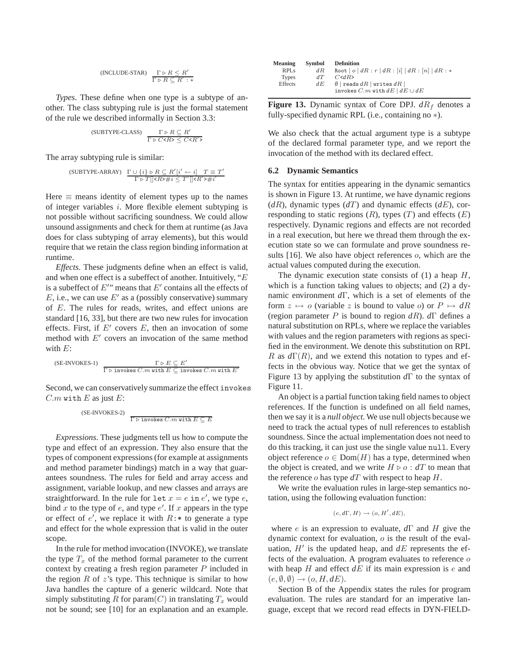(INCLUDE-STAR) 
$$
\frac{\Gamma \triangleright R \leq R'}{\Gamma \triangleright R \subseteq R':*}
$$

*Types*. These define when one type is a subtype of another. The class subtyping rule is just the formal statement of the rule we described informally in Section 3.3:

$$
\text{(SUBTYPE-CLASS)} \quad \frac{\Gamma \triangleright R \subseteq R'}{\Gamma \triangleright C \triangle R \geq C \triangle R' \geq}
$$

The array subtyping rule is similar:

(SUBTYPE-ARRAY) 
$$
\frac{\Gamma \cup \{i\} \triangleright R \subseteq R'[i' \leftarrow i] \quad T \equiv T'}{\Gamma \triangleright T[] \langle R \rangle \# i \leq T'[ \langle R' \rangle \# i']}
$$

Here  $\equiv$  means identity of element types up to the names of integer variables i. More flexible element subtyping is not possible without sacrificing soundness. We could allow unsound assignments and check for them at runtime (as Java does for class subtyping of array elements), but this would require that we retain the class region binding information at runtime.

*Effects*. These judgments define when an effect is valid, and when one effect is a subeffect of another. Intuitively, "E is a subeffect of  $E'$ " means that  $E'$  contains all the effects of  $E$ , i.e., we can use  $E'$  as a (possibly conservative) summary of E. The rules for reads, writes, and effect unions are standard [16, 33], but there are two new rules for invocation effects. First, if  $E'$  covers  $E$ , then an invocation of some method with  $E'$  covers an invocation of the same method with  $E$ :

(SE-INVOKES-1)  
\n
$$
\frac{\Gamma \triangleright E \subseteq E'}{\Gamma \triangleright \text{involes } C.m \text{ with } E \subseteq \text{involes } C.m \text{ with } E'}
$$

Second, we can conservatively summarize the effect invokes  $C.m$  with  $E$  as just  $E$ :

$$
\text{(SE-INVOKES-2)} \quad \frac{}{\Gamma \triangleright \text{involes }C.m \text{ with } E \subseteq E}
$$

*Expressions*. These judgments tell us how to compute the type and effect of an expression. They also ensure that the types of component expressions (for example at assignments and method parameter bindings) match in a way that guarantees soundness. The rules for field and array access and assignment, variable lookup, and new classes and arrays are straightforward. In the rule for  $\text{let } x = e \text{ in } e'$ , we type  $e$ , bind x to the type of  $e$ , and type  $e'$ . If x appears in the type or effect of  $e'$ , we replace it with  $R:$ \* to generate a type and effect for the whole expression that is valid in the outer scope.

In the rule for method invocation (INVOKE), we translate the type  $T_x$  of the method formal parameter to the current context by creating a fresh region parameter P included in the region  $R$  of  $z$ 's type. This technique is similar to how Java handles the capture of a generic wildcard. Note that simply substituting R for param(C) in translating  $T_x$  would not be sound; see [10] for an explanation and an example.

| Meaning      | Symbol | <b>Definition</b>                                |
|--------------|--------|--------------------------------------------------|
| <b>RPLs</b>  | dR     | Root $ o  dR : r   dR : [i]   dR : [n]   dR : *$ |
| <b>Types</b> | dT     | $C \leq dR$                                      |
| Effects      | dE     | $\emptyset$   reads $dR$   writes $dR$           |
|              |        | invokes C.m with $dE \mid dE \cup dE$            |

**Figure 13.** Dynamic syntax of Core DPJ.  $dR_f$  denotes a fully-specified dynamic RPL (i.e., containing no ∗).

We also check that the actual argument type is a subtype of the declared formal parameter type, and we report the invocation of the method with its declared effect.

#### **6.2 Dynamic Semantics**

The syntax for entities appearing in the dynamic semantics is shown in Figure 13. At runtime, we have dynamic regions  $(dR)$ , dynamic types  $(dT)$  and dynamic effects  $(dE)$ , corresponding to static regions  $(R)$ , types  $(T)$  and effects  $(E)$ respectively. Dynamic regions and effects are not recorded in a real execution, but here we thread them through the execution state so we can formulate and prove soundness results [16]. We also have object references o, which are the actual values computed during the execution.

The dynamic execution state consists of  $(1)$  a heap  $H$ , which is a function taking values to objects; and (2) a dynamic environment *d*Γ, which is a set of elements of the form  $z \mapsto o$  (variable z is bound to value o) or  $P \mapsto dR$ (region parameter P is bound to region *d*R). *d*Γ defines a natural substitution on RPLs, where we replace the variables with values and the region parameters with regions as specified in the environment. We denote this substitution on RPL R as  $d\Gamma(R)$ , and we extend this notation to types and effects in the obvious way. Notice that we get the syntax of Figure 13 by applying the substitution *d*Γ to the syntax of Figure 11.

An object is a partial function taking field names to object references. If the function is undefined on all field names, then we say it is a *null object*. We use null objects because we need to track the actual types of null references to establish soundness. Since the actual implementation does not need to do this tracking, it can just use the single value null. Every object reference  $o \in Dom(H)$  has a type, determined when the object is created, and we write  $H \triangleright o : dT$  to mean that the reference  $o$  has type  $dT$  with respect to heap  $H$ .

We write the evaluation rules in large-step semantics notation, using the following evaluation function:

$$
(e, d\Gamma, H) \to (o, H', dE),
$$

where e is an expression to evaluate, *d*Γ and H give the dynamic context for evaluation, o is the result of the evaluation,  $H'$  is the updated heap, and  $dE$  represents the effects of the evaluation. A program evaluates to reference o with heap  $H$  and effect  $dE$  if its main expression is  $e$  and  $(e, \emptyset, \emptyset) \rightarrow (o, H, dE).$ 

Section B of the Appendix states the rules for program evaluation. The rules are standard for an imperative language, except that we record read effects in DYN-FIELD-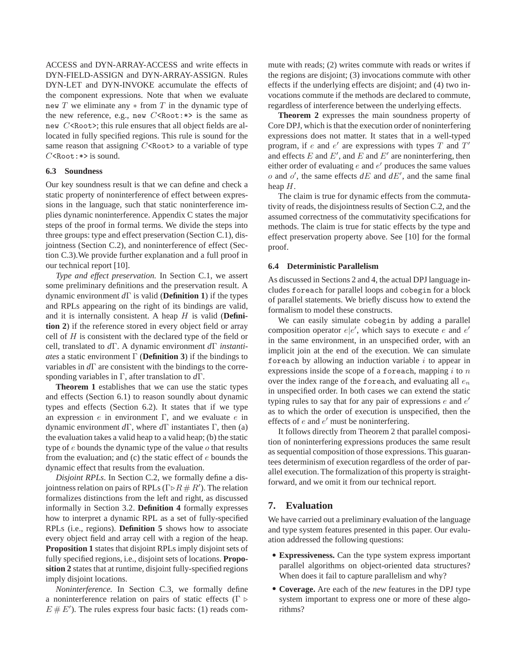ACCESS and DYN-ARRAY-ACCESS and write effects in DYN-FIELD-ASSIGN and DYN-ARRAY-ASSIGN. Rules DYN-LET and DYN-INVOKE accumulate the effects of the component expressions. Note that when we evaluate new T we eliminate any  $*$  from T in the dynamic type of the new reference, e.g., new  $C$ <Root: \*> is the same as new C<Root>; this rule ensures that all object fields are allocated in fully specified regions. This rule is sound for the same reason that assigning  $C$ <Root> to a variable of type  $C$ <Root: \*> is sound.

## **6.3 Soundness**

Our key soundness result is that we can define and check a static property of noninterference of effect between expressions in the language, such that static noninterference implies dynamic noninterference. Appendix C states the major steps of the proof in formal terms. We divide the steps into three groups: type and effect preservation (Section C.1), disjointness (Section C.2), and noninterference of effect (Section C.3).We provide further explanation and a full proof in our technical report [10].

*Type and effect preservation.* In Section C.1, we assert some preliminary definitions and the preservation result. A dynamic environment *d*Γ is valid (**Definition 1**) if the types and RPLs appearing on the right of its bindings are valid, and it is internally consistent. A heap H is valid (**Definition 2**) if the reference stored in every object field or array cell of H is consistent with the declared type of the field or cell, translated to *d*Γ. A dynamic environment *d*Γ *instantiates* a static environment Γ (**Definition 3**) if the bindings to variables in *d*Γ are consistent with the bindings to the corresponding variables in Γ, after translation to *d*Γ.

**Theorem 1** establishes that we can use the static types and effects (Section 6.1) to reason soundly about dynamic types and effects (Section 6.2). It states that if we type an expression  $e$  in environment Γ, and we evaluate  $e$  in dynamic environment *d*Γ, where *d*Γ instantiates Γ, then (a) the evaluation takes a valid heap to a valid heap; (b) the static type of e bounds the dynamic type of the value o that results from the evaluation; and  $(c)$  the static effect of  $e$  bounds the dynamic effect that results from the evaluation.

*Disjoint RPLs*. In Section C.2, we formally define a disjointness relation on pairs of RPLs ( $\Gamma \triangleright R \# R'$ ). The relation formalizes distinctions from the left and right, as discussed informally in Section 3.2. **Definition 4** formally expresses how to interpret a dynamic RPL as a set of fully-specified RPLs (i.e., regions). **Definition 5** shows how to associate every object field and array cell with a region of the heap. **Proposition 1** states that disjoint RPLs imply disjoint sets of fully specified regions, i.e., disjoint sets of locations. **Proposition 2** states that at runtime, disjoint fully-specified regions imply disjoint locations.

*Noninterference.* In Section C.3, we formally define a noninterference relation on pairs of static effects ( $\Gamma \triangleright$  $E \# E'$ ). The rules express four basic facts: (1) reads commute with reads; (2) writes commute with reads or writes if the regions are disjoint; (3) invocations commute with other effects if the underlying effects are disjoint; and (4) two invocations commute if the methods are declared to commute, regardless of interference between the underlying effects.

**Theorem 2** expresses the main soundness property of Core DPJ, which is that the execution order of noninterfering expressions does not matter. It states that in a well-typed program, if e and  $e'$  are expressions with types  $T$  and  $T'$ and effects  $E$  and  $E'$ , and  $E$  and  $E'$  are noninterfering, then either order of evaluating  $e$  and  $e'$  produces the same values  $o$  and  $o'$ , the same effects  $dE$  and  $dE'$ , and the same final heap H.

The claim is true for dynamic effects from the commutativity of reads, the disjointness results of Section C.2, and the assumed correctness of the commutativity specifications for methods. The claim is true for static effects by the type and effect preservation property above. See [10] for the formal proof.

#### **6.4 Deterministic Parallelism**

As discussed in Sections 2 and 4, the actual DPJ language includes foreach for parallel loops and cobegin for a block of parallel statements. We briefly discuss how to extend the formalism to model these constructs.

We can easily simulate cobegin by adding a parallel composition operator  $e|e'$ , which says to execute e and  $e'$ in the same environment, in an unspecified order, with an implicit join at the end of the execution. We can simulate foreach by allowing an induction variable  $i$  to appear in expressions inside the scope of a foreach, mapping  $i$  to  $n$ over the index range of the foreach, and evaluating all  $e_n$ in unspecified order. In both cases we can extend the static typing rules to say that for any pair of expressions  $e$  and  $e'$ as to which the order of execution is unspecified, then the effects of  $e$  and  $e'$  must be noninterfering.

It follows directly from Theorem 2 that parallel composition of noninterfering expressions produces the same result as sequential composition of those expressions. This guarantees determinism of execution regardless of the order of parallel execution. The formalization of this property is straightforward, and we omit it from our technical report.

## **7. Evaluation**

We have carried out a preliminary evaluation of the language and type system features presented in this paper. Our evaluation addressed the following questions:

- **Expressiveness.** Can the type system express important parallel algorithms on object-oriented data structures? When does it fail to capture parallelism and why?
- **Coverage.** Are each of the *new* features in the DPJ type system important to express one or more of these algorithms?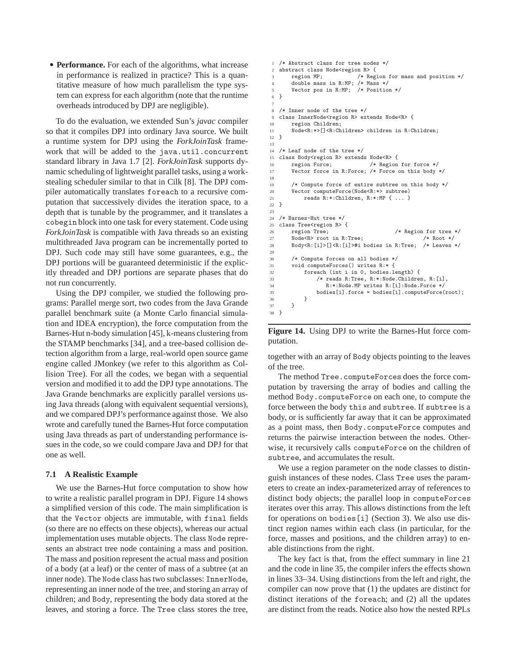• **Performance.** For each of the algorithms, what increase in performance is realized in practice? This is a quantitative measure of how much parallelism the type system can express for each algorithm (note that the runtime overheads introduced by DPJ are negligible).

To do the evaluation, we extended Sun's *javac* compiler so that it compiles DPJ into ordinary Java source. We built a runtime system for DPJ using the *ForkJoinTask* framework that will be added to the java.util.concurrent standard library in Java 1.7 [2]. *ForkJoinTask* supports dynamic scheduling of lightweight parallel tasks, using a workstealing scheduler similar to that in Cilk [8]. The DPJ compiler automatically translates foreach to a recursive computation that successively divides the iteration space, to a depth that is tunable by the programmer, and it translates a cobegin block into one task for every statement. Code using *ForkJoinTask* is compatible with Java threads so an existing multithreaded Java program can be incrementally ported to DPJ. Such code may still have some guarantees, e.g., the DPJ portions will be guaranteed deterministic if the explicitly threaded and DPJ portions are separate phases that do not run concurrently.

Using the DPJ compiler, we studied the following programs: Parallel merge sort, two codes from the Java Grande parallel benchmark suite (a Monte Carlo financial simulation and IDEA encryption), the force computation from the Barnes-Hut n-body simulation [45], k-means clustering from the STAMP benchmarks [34], and a tree-based collision detection algorithm from a large, real-world open source game engine called JMonkey (we refer to this algorithm as Collision Tree). For all the codes, we began with a sequential version and modified it to add the DPJ type annotations. The Java Grande benchmarks are explicitly parallel versions using Java threads (along with equivalent sequential versions), and we compared DPJ's performance against those. We also wrote and carefully tuned the Barnes-Hut force computation using Java threads as part of understanding performance issues in the code, so we could compare Java and DPJ for that one as well.

## **7.1 A Realistic Example**

We use the Barnes-Hut force computation to show how to write a realistic parallel program in DPJ. Figure 14 shows a simplified version of this code. The main simplification is that the Vector objects are immutable, with final fields (so there are no effects on these objects), whereas our actual implementation uses mutable objects. The class Node represents an abstract tree node containing a mass and position. The mass and position represent the actual mass and position of a body (at a leaf) or the center of mass of a subtree (at an inner node). The Node class has two subclasses: InnerNode, representing an inner node of the tree, and storing an array of children; and Body, representing the body data stored at the leaves, and storing a force. The Tree class stores the tree,

```
1 /* Abstract class for tree nodes */
2 abstract class Node<region R> {<br>3 region MP; /* Regi
                                      /* Region for mass and position */4 double mass in R:MP; /* Mass */
         Vector pos in R:MP; /* Position */
 6 }
 7
 8 /* Inner node of the tree */
   class InnerNode<region R> extends Node<R> {
10 region Children;
11 Node<R:*>[]<R:Children> children in R:Children;
12 }
13
14 /* Leaf node of the tree */
15 class Body<br><region R> extends Node<br><R>>\xi16 <br/> region Force; /* Region
16 region Force; /* Region for force */<br>17 Vector force in R: Force: /* Force on this body
         17 Vector force in R:Force; /* Force on this body */
18
19 /* Compute force of entire subtree on this body */<br>20 Metter computeForce(Mode (R: * > subtree)
         20 Vector computeForce(Node<R:*> subtree)
21 reads R:*:Children, R:*:MP { ... }
22 }
23
24 /* Barnes-Hut tree */
25 class Tree<region R> {<br>26 region Tree;
% region Tree; <br>
27 Node<R> root in R:Tree; <br>
27 Node<R> root in R:Tree; <br>
27 Node<R> root in R:Tree; <br>
27 Node<R> root in R:Tree; <br>
27 Node<R> root in R:Tree; <br>
27 Nodes, <br>
28 Nodes, <br>
28 Nodes, <br>
29 Nodes, <br>
29 Nodes, <br>

27 Node<R> root in R:Tree;<br>28 Bodv<R:[i]>[]<R:[i]>#i
         Body<R:[i]>[]<R:[i]>#i bodies in R:Tree; /* Leaves */
29
30 /* Compute forces on all bodies */
31 void computeForces() writes R:* {
32 foreach (int i in 0, bodies.length) {<br>33 /* reads R:Tree, R:*:Node.Children
                    /* reads R:Tree, R:*:Node.Children, R:[i],
34 R:*:Node.MP writes R:[i]:Node.Force */<br>35 bodies [i].force = bodies [i].computeForce
35 bodies[i].force = bodies[i].computeForce(root);
36 }<br>37 }
         \mathcal{F}38 }
```
**Figure 14.** Using DPJ to write the Barnes-Hut force computation.

together with an array of Body objects pointing to the leaves of the tree.

The method Tree.computeForces does the force computation by traversing the array of bodies and calling the method Body.computeForce on each one, to compute the force between the body this and subtree. If subtree is a body, or is sufficiently far away that it can be approximated as a point mass, then Body.computeForce computes and returns the pairwise interaction between the nodes. Otherwise, it recursively calls computeForce on the children of subtree, and accumulates the result.

We use a region parameter on the node classes to distinguish instances of these nodes. Class Tree uses the parameters to create an index-parameterized array of references to distinct body objects; the parallel loop in computeForces iterates over this array. This allows distinctions from the left for operations on bodies[i] (Section 3). We also use distinct region names within each class (in particular, for the force, masses and positions, and the children array) to enable distinctions from the right.

The key fact is that, from the effect summary in line 21 and the code in line 35, the compiler infers the effects shown in lines 33–34. Using distinctions from the left and right, the compiler can now prove that (1) the updates are distinct for distinct iterations of the foreach; and (2) all the updates are distinct from the reads. Notice also how the nested RPLs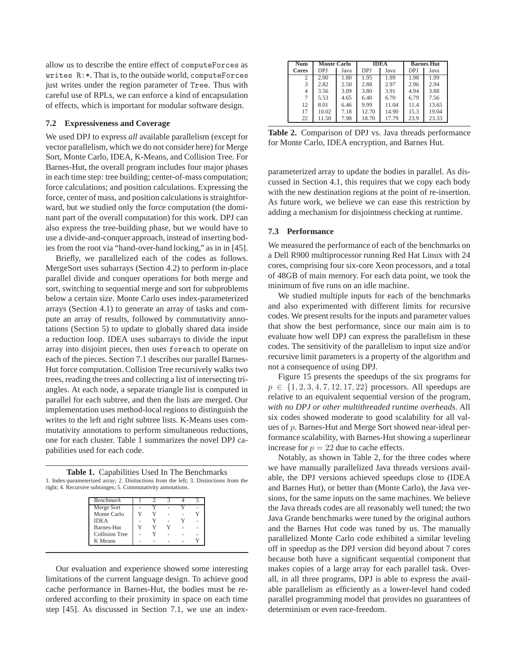allow us to describe the entire effect of computeForces as writes R:\*. That is, to the outside world, computeForces just writes under the region parameter of Tree. Thus with careful use of RPLs, we can enforce a kind of encapsulation of effects, which is important for modular software design.

#### **7.2 Expressiveness and Coverage**

We used DPJ to express *all* available parallelism (except for vector parallelism, which we do not consider here) for Merge Sort, Monte Carlo, IDEA, K-Means, and Collision Tree. For Barnes-Hut, the overall program includes four major phases in each time step: tree building; center-of-mass computation; force calculations; and position calculations. Expressing the force, center of mass, and position calculations is straightforward, but we studied only the force computation (the dominant part of the overall computation) for this work. DPJ can also express the tree-building phase, but we would have to use a divide-and-conquer approach, instead of inserting bodies from the root via "hand-over-hand locking," as in in [45].

Briefly, we parallelized each of the codes as follows. MergeSort uses subarrays (Section 4.2) to perform in-place parallel divide and conquer operations for both merge and sort, switching to sequential merge and sort for subproblems below a certain size. Monte Carlo uses index-parameterized arrays (Section 4.1) to generate an array of tasks and compute an array of results, followed by commutativity annotations (Section 5) to update to globally shared data inside a reduction loop. IDEA uses subarrays to divide the input array into disjoint pieces, then uses foreach to operate on each of the pieces. Section 7.1 describes our parallel Barnes-Hut force computation. Collision Tree recursively walks two trees, reading the trees and collecting a list of intersecting triangles. At each node, a separate triangle list is computed in parallel for each subtree, and then the lists are merged. Our implementation uses method-local regions to distinguish the writes to the left and right subtree lists. K-Means uses commutativity annotations to perform simultaneous reductions, one for each cluster. Table 1 summarizes the novel DPJ capabilities used for each code.

**Table 1.** Capabilities Used In The Benchmarks 1. Index-parameterized array; 2. Distinctions from the left; 3. Distinctions from the right; 4. Recursive subranges; 5. Commutativity annotations.

| <b>Benchmark</b>      |  |  |  |
|-----------------------|--|--|--|
| Merge Sort            |  |  |  |
| Monte Carlo           |  |  |  |
| <b>IDEA</b>           |  |  |  |
| Barnes-Hut            |  |  |  |
| <b>Collision Tree</b> |  |  |  |
| K Means               |  |  |  |

Our evaluation and experience showed some interesting limitations of the current language design. To achieve good cache performance in Barnes-Hut, the bodies must be reordered according to their proximity in space on each time step [45]. As discussed in Section 7.1, we use an index-

| <b>Num</b>                  | <b>Monte Carlo</b> |      |       | <b>IDEA</b> | <b>Barnes Hut</b> |       |  |
|-----------------------------|--------------------|------|-------|-------------|-------------------|-------|--|
| <b>Cores</b>                | DPJ                | Java | DPJ   | Java        | DPJ               | Java  |  |
| $\mathcal{D}_{\mathcal{A}}$ | 2.00               | 1.80 | 1.95  | 1.99        | 1.98              | 1.99  |  |
| 3                           | 2.82               | 2.50 | 2.88  | 2.97        | 2.96              | 2.94  |  |
| 4                           | 3.56               | 3.09 | 3.80  | 3.91        | 4.94              | 3.88  |  |
|                             | 5.53               | 4.65 | 6.40  | 6.70        | 6.79              | 7.56  |  |
| 12                          | 8.01               | 6.46 | 9.99  | 11.04       | 11.4              | 13.65 |  |
| 17                          | 10.02              | 7.18 | 12.70 | 14.90       | 15.3              | 19.04 |  |
| 22                          | 11.50              | 7.98 | 18.70 | 17.79       | 23.9              | 23.33 |  |

**Table 2.** Comparison of DPJ vs. Java threads performance for Monte Carlo, IDEA encryption, and Barnes Hut.

parameterized array to update the bodies in parallel. As discussed in Section 4.1, this requires that we copy each body with the new destination regions at the point of re-insertion. As future work, we believe we can ease this restriction by adding a mechanism for disjointness checking at runtime.

#### **7.3 Performance**

We measured the performance of each of the benchmarks on a Dell R900 multiprocessor running Red Hat Linux with 24 cores, comprising four six-core Xeon processors, and a total of 48GB of main memory. For each data point, we took the minimum of five runs on an idle machine.

We studied multiple inputs for each of the benchmarks and also experimented with different limits for recursive codes. We present results for the inputs and parameter values that show the best performance, since our main aim is to evaluate how well DPJ can express the parallelism in these codes. The sensitivity of the parallelism to input size and/or recursive limit parameters is a property of the algorithm and not a consequence of using DPJ.

Figure 15 presents the speedups of the six programs for  $p \in \{1, 2, 3, 4, 7, 12, 17, 22\}$  processors. All speedups are relative to an equivalent sequential version of the program, *with no DPJ or other multithreaded runtime overheads*. All six codes showed moderate to good scalability for all values of p. Barnes-Hut and Merge Sort showed near-ideal performance scalability, with Barnes-Hut showing a superlinear increase for  $p = 22$  due to cache effects.

Notably, as shown in Table 2, for the three codes where we have manually parallelized Java threads versions available, the DPJ versions achieved speedups close to (IDEA and Barnes Hut), or better than (Monte Carlo), the Java versions, for the same inputs on the same machines. We believe the Java threads codes are all reasonably well tuned; the two Java Grande benchmarks were tuned by the original authors and the Barnes Hut code was tuned by us. The manually parallelized Monte Carlo code exhibited a similar leveling off in speedup as the DPJ version did beyond about 7 cores because both have a significant sequential component that makes copies of a large array for each parallel task. Overall, in all three programs, DPJ is able to express the available parallelism as efficiently as a lower-level hand coded parallel programming model that provides no guarantees of determinism or even race-freedom.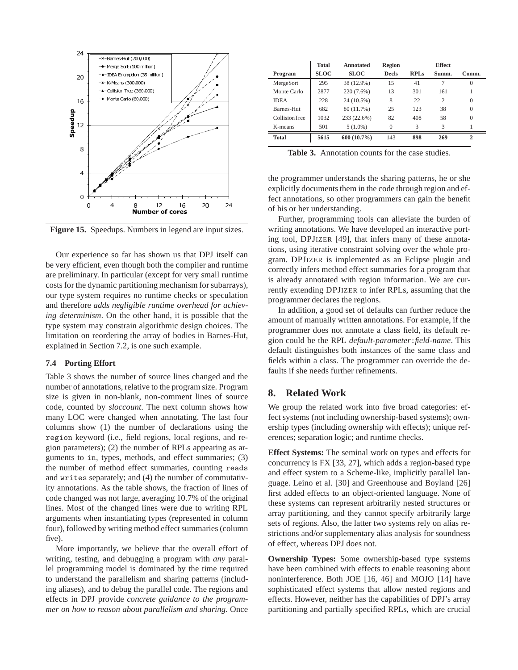

**Figure 15.** Speedups. Numbers in legend are input sizes.

Our experience so far has shown us that DPJ itself can be very efficient, even though both the compiler and runtime are preliminary. In particular (except for very small runtime costs for the dynamic partitioning mechanism for subarrays), our type system requires no runtime checks or speculation and therefore *adds negligible runtime overhead for achieving determinism*. On the other hand, it is possible that the type system may constrain algorithmic design choices. The limitation on reordering the array of bodies in Barnes-Hut, explained in Section 7.2, is one such example.

#### **7.4 Porting Effort**

Table 3 shows the number of source lines changed and the number of annotations, relative to the program size. Program size is given in non-blank, non-comment lines of source code, counted by *sloccount*. The next column shows how many LOC were changed when annotating. The last four columns show (1) the number of declarations using the region keyword (i.e., field regions, local regions, and region parameters); (2) the number of RPLs appearing as arguments to in, types, methods, and effect summaries; (3) the number of method effect summaries, counting reads and writes separately; and (4) the number of commutativity annotations. As the table shows, the fraction of lines of code changed was not large, averaging 10.7% of the original lines. Most of the changed lines were due to writing RPL arguments when instantiating types (represented in column four), followed by writing method effect summaries (column five).

More importantly, we believe that the overall effort of writing, testing, and debugging a program with *any* parallel programming model is dominated by the time required to understand the parallelism and sharing patterns (including aliases), and to debug the parallel code. The regions and effects in DPJ provide *concrete guidance to the programmer on how to reason about parallelism and sharing*. Once

|                   | <b>Total</b> | Annotated   | <b>Region</b> |             | <b>Effect</b>  |              |
|-------------------|--------------|-------------|---------------|-------------|----------------|--------------|
| Program           | <b>SLOC</b>  | <b>SLOC</b> | <b>Decls</b>  | <b>RPLs</b> | Summ.          | Comm.        |
| MergeSort         | 295          | 38 (12.9%)  | 15            | 41          | 7              | $\Omega$     |
| Monte Carlo       | 2877         | 220 (7.6%)  | 13            | 301         | 161            |              |
| <b>IDEA</b>       | 228          | 24 (10.5%)  | 8             | 22          | $\overline{c}$ | $\Omega$     |
| <b>Barnes-Hut</b> | 682          | 80 (11.7%)  | 25            | 123         | 38             | $\theta$     |
| CollisionTree     | 1032         | 233 (22.6%) | 82            | 408         | 58             | $\theta$     |
| K-means           | 501          | $5(1.0\%)$  | $\Omega$      | 3           | 3              |              |
| <b>Total</b>      | 5615         | 600(10.7%)  | 143           | 898         | 269            | $\mathbf{2}$ |

**Table 3.** Annotation counts for the case studies.

the programmer understands the sharing patterns, he or she explicitly documents them in the code through region and effect annotations, so other programmers can gain the benefit of his or her understanding.

Further, programming tools can alleviate the burden of writing annotations. We have developed an interactive porting tool, DPJIZER [49], that infers many of these annotations, using iterative constraint solving over the whole program. DPJIZER is implemented as an Eclipse plugin and correctly infers method effect summaries for a program that is already annotated with region information. We are currently extending DPJIZER to infer RPLs, assuming that the programmer declares the regions.

In addition, a good set of defaults can further reduce the amount of manually written annotations. For example, if the programmer does not annotate a class field, its default region could be the RPL *default-parameter*:*field-name*. This default distinguishes both instances of the same class and fields within a class. The programmer can override the defaults if she needs further refinements.

## **8. Related Work**

We group the related work into five broad categories: effect systems (not including ownership-based systems); ownership types (including ownership with effects); unique references; separation logic; and runtime checks.

**Effect Systems:** The seminal work on types and effects for concurrency is FX [33, 27], which adds a region-based type and effect system to a Scheme-like, implicitly parallel language. Leino et al. [30] and Greenhouse and Boyland [26] first added effects to an object-oriented language. None of these systems can represent arbitrarily nested structures or array partitioning, and they cannot specify arbitrarily large sets of regions. Also, the latter two systems rely on alias restrictions and/or supplementary alias analysis for soundness of effect, whereas DPJ does not.

**Ownership Types:** Some ownership-based type systems have been combined with effects to enable reasoning about noninterference. Both JOE [16, 46] and MOJO [14] have sophisticated effect systems that allow nested regions and effects. However, neither has the capabilities of DPJ's array partitioning and partially specified RPLs, which are crucial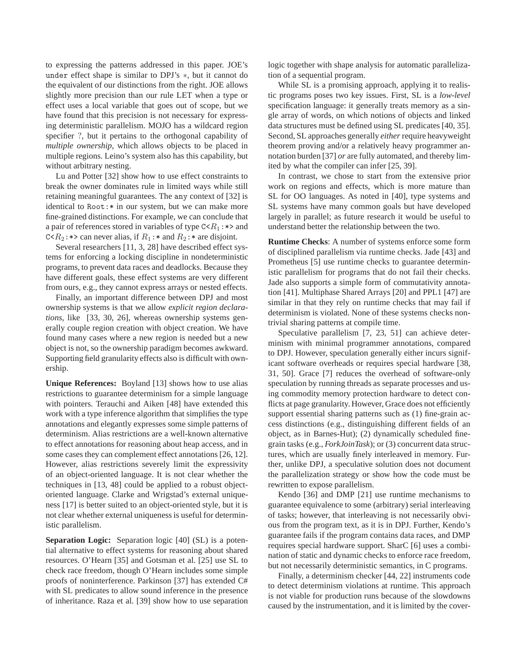to expressing the patterns addressed in this paper. JOE's under effect shape is similar to DPJ's ∗, but it cannot do the equivalent of our distinctions from the right. JOE allows slightly more precision than our rule LET when a type or effect uses a local variable that goes out of scope, but we have found that this precision is not necessary for expressing deterministic parallelism. MOJO has a wildcard region specifier ?, but it pertains to the orthogonal capability of *multiple ownership*, which allows objects to be placed in multiple regions. Leino's system also has this capability, but without arbitrary nesting.

Lu and Potter [32] show how to use effect constraints to break the owner dominates rule in limited ways while still retaining meaningful guarantees. The any context of [32] is identical to Root:  $*$  in our system, but we can make more fine-grained distinctions. For example, we can conclude that a pair of references stored in variables of type  $C < R_1$ : \*> and  $C < R_2$ : \*> can never alias, if  $R_1$ : \* and  $R_2$ : \* are disjoint.

Several researchers [11, 3, 28] have described effect systems for enforcing a locking discipline in nondeterministic programs, to prevent data races and deadlocks. Because they have different goals, these effect systems are very different from ours, e.g., they cannot express arrays or nested effects.

Finally, an important difference between DPJ and most ownership systems is that we allow *explicit region declarations*, like [33, 30, 26], whereas ownership systems generally couple region creation with object creation. We have found many cases where a new region is needed but a new object is not, so the ownership paradigm becomes awkward. Supporting field granularity effects also is difficult with ownership.

**Unique References:** Boyland [13] shows how to use alias restrictions to guarantee determinism for a simple language with pointers. Terauchi and Aiken [48] have extended this work with a type inference algorithm that simplifies the type annotations and elegantly expresses some simple patterns of determinism. Alias restrictions are a well-known alternative to effect annotations for reasoning about heap access, and in some cases they can complement effect annotations [26, 12]. However, alias restrictions severely limit the expressivity of an object-oriented language. It is not clear whether the techniques in [13, 48] could be applied to a robust objectoriented language. Clarke and Wrigstad's external uniqueness [17] is better suited to an object-oriented style, but it is not clear whether external uniqueness is useful for deterministic parallelism.

**Separation Logic:** Separation logic [40] (SL) is a potential alternative to effect systems for reasoning about shared resources. O'Hearn [35] and Gotsman et al. [25] use SL to check race freedom, though O'Hearn includes some simple proofs of noninterference. Parkinson [37] has extended C# with SL predicates to allow sound inference in the presence of inheritance. Raza et al. [39] show how to use separation logic together with shape analysis for automatic parallelization of a sequential program.

While SL is a promising approach, applying it to realistic programs poses two key issues. First, SL is a *low-level* specification language: it generally treats memory as a single array of words, on which notions of objects and linked data structures must be defined using SL predicates [40, 35]. Second, SL approaches generally *either* require heavyweight theorem proving and/or a relatively heavy programmer annotation burden [37] *or* are fully automated, and thereby limited by what the compiler can infer [25, 39].

In contrast, we chose to start from the extensive prior work on regions and effects, which is more mature than SL for OO languages. As noted in [40], type systems and SL systems have many common goals but have developed largely in parallel; as future research it would be useful to understand better the relationship between the two.

**Runtime Checks**: A number of systems enforce some form of disciplined parallelism via runtime checks. Jade [43] and Prometheus [5] use runtime checks to guarantee deterministic parallelism for programs that do not fail their checks. Jade also supports a simple form of commutativity annotation [41]. Multiphase Shared Arrays [20] and PPL1 [47] are similar in that they rely on runtime checks that may fail if determinism is violated. None of these systems checks nontrivial sharing patterns at compile time.

Speculative parallelism [7, 23, 51] can achieve determinism with minimal programmer annotations, compared to DPJ. However, speculation generally either incurs significant software overheads or requires special hardware [38, 31, 50]. Grace [7] reduces the overhead of software-only speculation by running threads as separate processes and using commodity memory protection hardware to detect conflicts at page granularity. However, Grace does not efficiently support essential sharing patterns such as (1) fine-grain access distinctions (e.g., distinguishing different fields of an object, as in Barnes-Hut); (2) dynamically scheduled finegrain tasks (e.g., *ForkJoinTask*); or (3) concurrent data structures, which are usually finely interleaved in memory. Further, unlike DPJ, a speculative solution does not document the parallelization strategy or show how the code must be rewritten to expose parallelism.

Kendo [36] and DMP [21] use runtime mechanisms to guarantee equivalence to some (arbitrary) serial interleaving of tasks; however, that interleaving is not necessarily obvious from the program text, as it is in DPJ. Further, Kendo's guarantee fails if the program contains data races, and DMP requires special hardware support. SharC [6] uses a combination of static and dynamic checks to enforce race freedom, but not necessarily deterministic semantics, in C programs.

Finally, a determinism checker [44, 22] instruments code to detect determinism violations at runtime. This approach is not viable for production runs because of the slowdowns caused by the instrumentation, and it is limited by the cover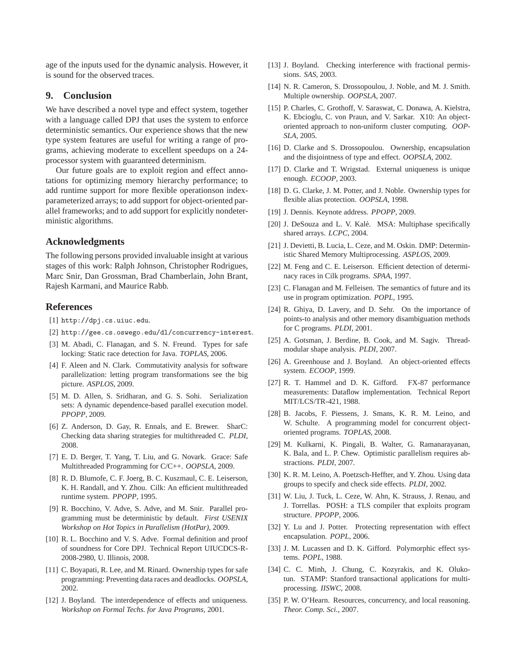age of the inputs used for the dynamic analysis. However, it is sound for the observed traces.

# **9. Conclusion**

We have described a novel type and effect system, together with a language called DPJ that uses the system to enforce deterministic semantics. Our experience shows that the new type system features are useful for writing a range of programs, achieving moderate to excellent speedups on a 24 processor system with guaranteed determinism.

Our future goals are to exploit region and effect annotations for optimizing memory hierarchy performance; to add runtime support for more flexible operationson indexparameterized arrays; to add support for object-oriented parallel frameworks; and to add support for explicitly nondeterministic algorithms.

## **Acknowledgments**

The following persons provided invaluable insight at various stages of this work: Ralph Johnson, Christopher Rodrigues, Marc Snir, Dan Grossman, Brad Chamberlain, John Brant, Rajesh Karmani, and Maurice Rabb.

## **References**

- [1] http://dpj.cs.uiuc.edu.
- [2] http://gee.cs.oswego.edu/dl/concurrency-interest.
- [3] M. Abadi, C. Flanagan, and S. N. Freund. Types for safe locking: Static race detection for Java. *TOPLAS*, 2006.
- [4] F. Aleen and N. Clark. Commutativity analysis for software parallelization: letting program transformations see the big picture. *ASPLOS*, 2009.
- [5] M. D. Allen, S. Sridharan, and G. S. Sohi. Serialization sets: A dynamic dependence-based parallel execution model. *PPOPP*, 2009.
- [6] Z. Anderson, D. Gay, R. Ennals, and E. Brewer. SharC: Checking data sharing strategies for multithreaded C. *PLDI*, 2008.
- [7] E. D. Berger, T. Yang, T. Liu, and G. Novark. Grace: Safe Multithreaded Programming for C/C++. *OOPSLA*, 2009.
- [8] R. D. Blumofe, C. F. Joerg, B. C. Kuszmaul, C. E. Leiserson, K. H. Randall, and Y. Zhou. Cilk: An efficient multithreaded runtime system. *PPOPP*, 1995.
- [9] R. Bocchino, V. Adve, S. Adve, and M. Snir. Parallel programming must be deterministic by default. *First USENIX Workshop on Hot Topics in Parallelism (HotPar)*, 2009.
- [10] R. L. Bocchino and V. S. Adve. Formal definition and proof of soundness for Core DPJ. Technical Report UIUCDCS-R-2008-2980, U. Illinois, 2008.
- [11] C. Boyapati, R. Lee, and M. Rinard. Ownership types for safe programming: Preventing data races and deadlocks. *OOPSLA*, 2002.
- [12] J. Boyland. The interdependence of effects and uniqueness. *Workshop on Formal Techs. for Java Programs*, 2001.
- [13] J. Boyland. Checking interference with fractional permissions. *SAS*, 2003.
- [14] N. R. Cameron, S. Drossopoulou, J. Noble, and M. J. Smith. Multiple ownership. *OOPSLA*, 2007.
- [15] P. Charles, C. Grothoff, V. Saraswat, C. Donawa, A. Kielstra, K. Ebcioglu, C. von Praun, and V. Sarkar. X10: An objectoriented approach to non-uniform cluster computing. *OOP-SLA*, 2005.
- [16] D. Clarke and S. Drossopoulou. Ownership, encapsulation and the disjointness of type and effect. *OOPSLA*, 2002.
- [17] D. Clarke and T. Wrigstad. External uniqueness is unique enough. *ECOOP*, 2003.
- [18] D. G. Clarke, J. M. Potter, and J. Noble. Ownership types for flexible alias protection. *OOPSLA*, 1998.
- [19] J. Dennis. Keynote address. *PPOPP*, 2009.
- [20] J. DeSouza and L. V. Kalé. MSA: Multiphase specifically shared arrays. *LCPC*, 2004.
- [21] J. Devietti, B. Lucia, L. Ceze, and M. Oskin. DMP: Deterministic Shared Memory Multiprocessing. *ASPLOS*, 2009.
- [22] M. Feng and C. E. Leiserson. Efficient detection of determinacy races in Cilk programs. *SPAA*, 1997.
- [23] C. Flanagan and M. Felleisen. The semantics of future and its use in program optimization. *POPL*, 1995.
- [24] R. Ghiya, D. Lavery, and D. Sehr. On the importance of points-to analysis and other memory disambiguation methods for C programs. *PLDI*, 2001.
- [25] A. Gotsman, J. Berdine, B. Cook, and M. Sagiv. Threadmodular shape analysis. *PLDI*, 2007.
- [26] A. Greenhouse and J. Boyland. An object-oriented effects system. *ECOOP*, 1999.
- [27] R. T. Hammel and D. K. Gifford. FX-87 performance measurements: Dataflow implementation. Technical Report MIT/LCS/TR-421, 1988.
- [28] B. Jacobs, F. Piessens, J. Smans, K. R. M. Leino, and W. Schulte. A programming model for concurrent objectoriented programs. *TOPLAS*, 2008.
- [29] M. Kulkarni, K. Pingali, B. Walter, G. Ramanarayanan, K. Bala, and L. P. Chew. Optimistic parallelism requires abstractions. *PLDI*, 2007.
- [30] K. R. M. Leino, A. Poetzsch-Heffter, and Y. Zhou. Using data groups to specify and check side effects. *PLDI*, 2002.
- [31] W. Liu, J. Tuck, L. Ceze, W. Ahn, K. Strauss, J. Renau, and J. Torrellas. POSH: a TLS compiler that exploits program structure. *PPOPP*, 2006.
- [32] Y. Lu and J. Potter. Protecting representation with effect encapsulation. *POPL*, 2006.
- [33] J. M. Lucassen and D. K. Gifford. Polymorphic effect systems. *POPL*, 1988.
- [34] C. C. Minh, J. Chung, C. Kozyrakis, and K. Olukotun. STAMP: Stanford transactional applications for multiprocessing. *IISWC*, 2008.
- [35] P. W. O'Hearn. Resources, concurrency, and local reasoning. *Theor. Comp. Sci.*, 2007.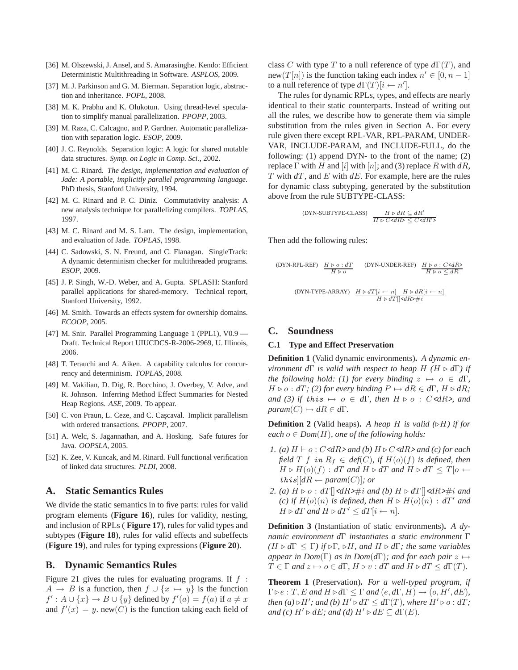- [36] M. Olszewski, J. Ansel, and S. Amarasinghe. Kendo: Efficient Deterministic Multithreading in Software. *ASPLOS*, 2009.
- [37] M. J. Parkinson and G. M. Bierman. Separation logic, abstraction and inheritance. *POPL*, 2008.
- [38] M. K. Prabhu and K. Olukotun. Using thread-level speculation to simplify manual parallelization. *PPOPP*, 2003.
- [39] M. Raza, C. Calcagno, and P. Gardner. Automatic parallelization with separation logic. *ESOP*, 2009.
- [40] J. C. Reynolds. Separation logic: A logic for shared mutable data structures. *Symp. on Logic in Comp. Sci.*, 2002.
- [41] M. C. Rinard. *The design, implementation and evaluation of Jade: A portable, implicitly parallel programming language*. PhD thesis, Stanford University, 1994.
- [42] M. C. Rinard and P. C. Diniz. Commutativity analysis: A new analysis technique for parallelizing compilers. *TOPLAS*, 1997.
- [43] M. C. Rinard and M. S. Lam. The design, implementation, and evaluation of Jade. *TOPLAS*, 1998.
- [44] C. Sadowski, S. N. Freund, and C. Flanagan. SingleTrack: A dynamic determinism checker for multithreaded programs. *ESOP*, 2009.
- [45] J. P. Singh, W.-D. Weber, and A. Gupta. SPLASH: Stanford parallel applications for shared-memory. Technical report, Stanford University, 1992.
- [46] M. Smith. Towards an effects system for ownership domains. *ECOOP*, 2005.
- [47] M. Snir. Parallel Programming Language 1 (PPL1), V0.9 Draft. Technical Report UIUCDCS-R-2006-2969, U. Illinois, 2006.
- [48] T. Terauchi and A. Aiken. A capability calculus for concurrency and determinism. *TOPLAS*, 2008.
- [49] M. Vakilian, D. Dig, R. Bocchino, J. Overbey, V. Adve, and R. Johnson. Inferring Method Effect Summaries for Nested Heap Regions. *ASE*, 2009. To appear.
- [50] C. von Praun, L. Ceze, and C. Cascaval. Implicit parallelism with ordered transactions. *PPOPP*, 2007.
- [51] A. Welc, S. Jagannathan, and A. Hosking. Safe futures for Java. *OOPSLA*, 2005.
- [52] K. Zee, V. Kuncak, and M. Rinard. Full functional verification of linked data structures. *PLDI*, 2008.

## **A. Static Semantics Rules**

We divide the static semantics in to five parts: rules for valid program elements (**Figure 16**), rules for validity, nesting, and inclusion of RPLs ( **Figure 17**), rules for valid types and subtypes (**Figure 18**), rules for valid effects and subeffects (**Figure 19**), and rules for typing expressions (**Figure 20**).

# **B. Dynamic Semantics Rules**

Figure 21 gives the rules for evaluating programs. If  $f$ :  $A \rightarrow B$  is a function, then  $f \cup \{x \mapsto y\}$  is the function  $f' : A \cup \{x\} \to B \cup \{y\}$  defined by  $f'(a) = f(a)$  if  $a \neq x$ and  $f'(x) = y$ . new(C) is the function taking each field of

class C with type T to a null reference of type  $d\Gamma(T)$ , and new(T[n]) is the function taking each index  $n' \in [0, n-1]$ to a null reference of type  $d\Gamma(T)[i \leftarrow n']$ .

The rules for dynamic RPLs, types, and effects are nearly identical to their static counterparts. Instead of writing out all the rules, we describe how to generate them via simple substitution from the rules given in Section A. For every rule given there except RPL-VAR, RPL-PARAM, UNDER-VAR, INCLUDE-PARAM, and INCLUDE-FULL, do the following: (1) append DYN- to the front of the name; (2) replace  $\Gamma$  with H and  $[i]$  with  $[n]$ ; and (3) replace R with  $dR$ , T with *d*T , and E with *d*E. For example, here are the rules for dynamic class subtyping, generated by the substitution above from the rule SUBTYPE-CLASS:

(DYN-SUBTYPE-CLASS) 
$$
\frac{H \triangleright dR \subseteq dR'}{H \triangleright C \triangleleft R \geq C \triangleleft R'}
$$

Then add the following rules:

(DYN-RPL-REF) 
$$
\frac{H \rhd o : dT}{H \rhd o} \qquad \text{(DYN-UNDER-REF)} \quad \frac{H \rhd o : C \rhd dR}{H \rhd o \leq dR}
$$
\n(DYN-TYPE-ARRAY) 
$$
\frac{H \rhd dT[i \leftarrow n]}{H \rhd dT[ \rhd dR \rhd \#i]}
$$

# **C. Soundness**

#### **C.1 Type and Effect Preservation**

**Definition 1** (Valid dynamic environments)**.** *A dynamic environment d* $\Gamma$  *is valid with respect to heap*  $H$  ( $H \triangleright d\Gamma$ ) *if the following hold: (1) for every binding*  $z \mapsto o \in d\Gamma$ ,  $H \triangleright o : dT$ ; (2) for every binding  $P \mapsto dR \in d\Gamma$ ,  $H \triangleright dR$ ; *and* (3) if this  $\mapsto$  o ∈ *d* $\Gamma$ *, then*  $H \triangleright o$  : C <*dR*>*>, and*  $param(C) \mapsto dR \in d\Gamma$ .

**Definition 2** (Valid heaps). A heap H is valid ( $\triangleright H$ ) if for *each*  $o \in Dom(H)$ *, one of the following holds:* 

- *1.* (*a*) *H*  $\vdash$  *o* : *C* <*dR> and* (*b*) *H* ⊳ *C* <*dR> and* (*c*) *for each field*  $T f$  in  $R_f \in def(C)$ *, if*  $H(o)(f)$  *is defined, then*  $H \triangleright H(o)(f) : dT$  *and*  $H \triangleright dT$  *and*  $H \triangleright dT \leq T[o \leftarrow$  $this$ [ $dR \leftarrow param(C)$ ]; or
- *2.* (*a*) *H* ⊳ *o* : *dT*  $\left|\frac{dR}{dt}\right|$  *≤dR>* $\neq i$  *and* (*b*) *H* ⊳ *dT*  $\left|\frac{dR}{dt}\right|$  *≤dR>* $\neq i$  *and (c)* if  $H$ (*o*)(*n*) *is defined, then*  $H$  ⊳  $H$ (*o*)(*n*) : *dT' and*  $H \triangleright dT$  and  $H \triangleright dT' \leq dT[i \leftarrow n].$

**Definition 3** (Instantiation of static environments)**.** *A dynamic environment d*Γ *instantiates a static environment* Γ  $(H \triangleright d\Gamma \leq \Gamma)$  *if*  $\triangleright \Gamma$ ,  $\triangleright H$ , and  $H \triangleright d\Gamma$ ; the same variables *appear in Dom*( $\Gamma$ ) *as in Dom*( $d\Gamma$ )*; and for each pair*  $z \mapsto$  $T \in \Gamma$  *and*  $z \mapsto o \in d\Gamma$ ,  $H \triangleright v : dT$  *and*  $H \triangleright dT \le d\Gamma(T)$ *.* 

**Theorem 1** (Preservation)**.** *For a well-typed program, if*  $\Gamma \triangleright e : T, E \text{ and } H \triangleright d\Gamma \leq \Gamma \text{ and } (e, d\Gamma, H) \rightarrow (o, H', dE),$ *then*  $(a) \triangleright H'$ ; and  $(b) H' \triangleright dT \le dT(T)$ , where  $H' \triangleright o : dT$ ; *and* (c)  $H' \triangleright dE$ *; and* (d)  $H' \triangleright dE \subseteq d\Gamma(E)$ *.*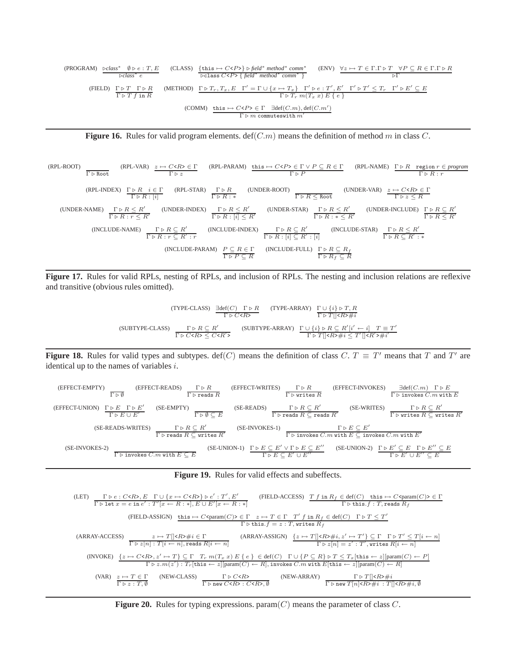$$
\begin{array}{ll}\n\text{(PROGRAM)} & \underline{\triangleright class}^* \quad \emptyset \triangleright e : T, E \\
\hline\n\text{Cclass}^* \quad e & \text{(CLASS)} \quad \{\text{this} \mapsto C < P > \} \cdot \text{field}^* \text{ method}^* \text{ comm}^* \\
\text{[END]} & \frac{\forall z \mapsto T \in \Gamma. \Gamma \triangleright T \quad \forall P \subseteq R \in \Gamma. \Gamma \triangleright R}{\sum \Gamma \text{Sparse} \times P} \text{ (HETHOD)} \\
\hline\n\text{[FELD]} & \frac{\Gamma \triangleright T \quad \Gamma \triangleright R}{\Gamma \triangleright T \quad f \text{ in } R} & \text{(METHOD)} \quad \frac{\Gamma \triangleright T_r, T_x, E \quad \Gamma' = \Gamma \cup \{x \mapsto T_x\} \quad \Gamma' \triangleright e : T', E' \quad \Gamma' \triangleright T' \leq T_r \quad \Gamma' \triangleright E' \subseteq E}{\Gamma \triangleright T_r \ m (T_x \ x) \ E \{e\}} \\
\hline\n\text{(COMM)} & \underline{\text{this} \mapsto C < P \triangleright \in \Gamma} \quad \exists \text{def}(C.m), \text{def}(C.m') \\
\hline\n\text{[D$ $m$ commutes with $m'$}\n\end{array}
$$

**Figure 16.** Rules for valid program elements. 
$$
def(C.m)
$$
 means the definition of method  $m$  in class  $C$ .

(RPL-ROM) 
$$
\frac{\text{(RPL-VAR)}}{\Gamma \triangleright \text{Root}} \xrightarrow{\text{(RPL-VAR)}} \frac{z \mapsto C \cdot R \cdot E \cdot \Gamma}{\Gamma \triangleright z} \xrightarrow{\text{(RPL-PARAM)}} \frac{\text{this} \mapsto C \cdot P \cdot E \cdot \Gamma \vee P \subseteq R \in \Gamma}{\Gamma \triangleright P} \xrightarrow{\text{(RPL-NAME)}} \frac{\Gamma \triangleright R \text{ region } r \in program}{\Gamma \triangleright R : r}
$$
\n(RPL-INDEX) 
$$
\frac{\Gamma \triangleright R}{\Gamma \triangleright R : [i]} \xrightarrow{\text{(RPL-STAR)}} \frac{\Gamma \triangleright R}{\Gamma \triangleright R : *} \xrightarrow{\text{(UNDER-ROOT)}} \frac{\Gamma \triangleright R}{\Gamma \triangleright R \leq \text{Root}} \xrightarrow{\text{(UNDER-VAR)}} \frac{z \mapsto C \cdot R \cdot E \cdot \Gamma}{\Gamma \triangleright z \leq R}
$$
\n(UNDER-NAME) 
$$
\frac{\Gamma \triangleright R \leq R'}{\Gamma \triangleright R : r \leq R'} \xrightarrow{\text{(UNDER-INDEX)}} \frac{\Gamma \triangleright R \leq R'}{\Gamma \triangleright R : [i] \leq R'} \xrightarrow{\text{(UNDER-STAR)}} \frac{\Gamma \triangleright R \leq R'}{\Gamma \triangleright R : k \leq R'} \xrightarrow{\text{(INCLIDE-INCE)}} \frac{\Gamma \triangleright R \leq R'}{\Gamma \triangleright R : k \leq R'} \xrightarrow{\text{(INCLIDE-STAR)}} \frac{\Gamma \triangleright R \leq R'}{\Gamma \triangleright R \leq R'} \frac{\text{(INCLIDE-STAR)}}{\Gamma \triangleright R \subseteq R'} \xrightarrow{\text{(NCLUDE-STAR)}} \frac{\Gamma \triangleright R \leq R'}{\Gamma \triangleright R \subseteq R' : *}
$$
\n(INCLUDE-PARAM) 
$$
\frac{P \subseteq R \in \Gamma}{\Gamma \triangleright P \subseteq R} \xrightarrow{\text{(NCLUDE-FLILL)}} \frac{\Gamma \triangleright R \subseteq R_1}{\Gamma \triangleright R_1 \subseteq R_2}
$$

**Figure 17.** Rules for valid RPLs, nesting of RPLs, and inclusion of RPLs. The nesting and inclusion relations are reflexive and transitive (obvious rules omitted).

$$
\begin{array}{ccc}\n\text{(TYPE-CLASS)} & \frac{\exists \text{def}(C) & \Gamma \vartriangleright R}{\Gamma \vartriangleright C \triangle R \times} & \text{(TYPE-ARRAY)} & \frac{\Gamma \cup \{i\} \vartriangleright T, R}{\Gamma \vartriangleright T [\triangle R \Rightarrow \# i]} \\
\text{(SUBTYPE-CLASS)} & & \frac{\Gamma \vartriangleright R \subseteq R'}{\Gamma \vartriangleright C \triangle R \times} & \text{(SUBTYPE-ARRAY)} & \frac{\Gamma \cup \{i\} \vartriangleright R \subseteq R'[i' \leftarrow i]}{\Gamma \vartriangleright T [\triangle R \Rightarrow \# i'} & T \equiv T' \\
\end{array}
$$

**Figure 18.** Rules for valid types and subtypes.  $\text{def}(C)$  means the definition of class  $C$ .  $T \equiv T'$  means that  $T$  and  $T'$  are identical up to the names of variables  $i$ .